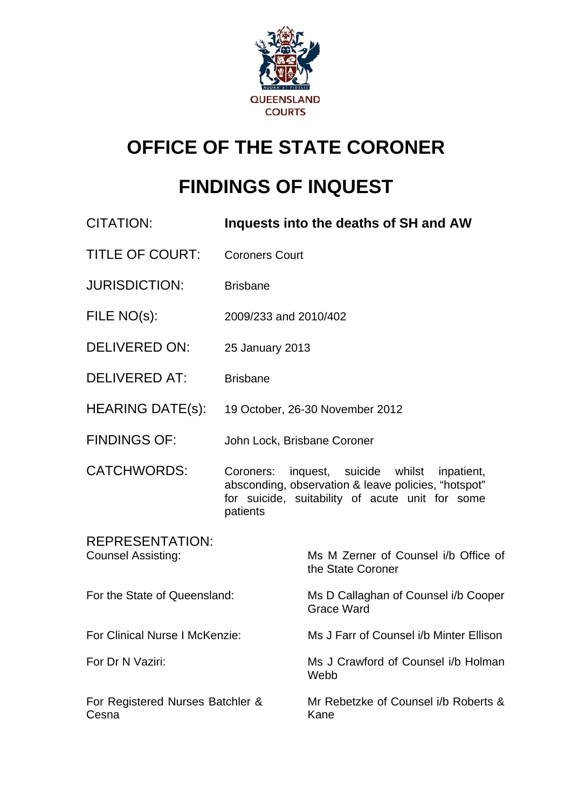

# **OFFICE OF THE STATE CORONER**

# **FINDINGS OF INQUEST**

| <b>CITATION:</b>                                    |                             | Inquests into the deaths of SH and AW                                                                                                           |
|-----------------------------------------------------|-----------------------------|-------------------------------------------------------------------------------------------------------------------------------------------------|
| <b>TITLE OF COURT:</b>                              | <b>Coroners Court</b>       |                                                                                                                                                 |
| <b>JURISDICTION:</b>                                | <b>Brisbane</b>             |                                                                                                                                                 |
| FILE NO(s):                                         | 2009/233 and 2010/402       |                                                                                                                                                 |
| <b>DELIVERED ON:</b>                                | 25 January 2013             |                                                                                                                                                 |
| <b>DELIVERED AT:</b>                                | <b>Brisbane</b>             |                                                                                                                                                 |
| HEARING DATE(s):                                    |                             | 19 October, 26-30 November 2012                                                                                                                 |
| <b>FINDINGS OF:</b>                                 | John Lock, Brisbane Coroner |                                                                                                                                                 |
| <b>CATCHWORDS:</b>                                  | Coroners:<br>patients       | inquest, suicide whilst<br>inpatient,<br>absconding, observation & leave policies, "hotspot"<br>for suicide, suitability of acute unit for some |
| <b>REPRESENTATION:</b><br><b>Counsel Assisting:</b> |                             | Ms M Zerner of Counsel i/b Office of<br>the State Coroner                                                                                       |
| For the State of Queensland:                        |                             | Ms D Callaghan of Counsel i/b Cooper<br><b>Grace Ward</b>                                                                                       |
| For Clinical Nurse I McKenzie:                      |                             | Ms J Farr of Counsel i/b Minter Ellison                                                                                                         |
| For Dr N Vaziri:                                    |                             | Ms J Crawford of Counsel i/b Holman<br>Webb                                                                                                     |
| For Registered Nurses Batchler &<br>Cesna           |                             | Mr Rebetzke of Counsel i/b Roberts &<br>Kane                                                                                                    |
|                                                     |                             |                                                                                                                                                 |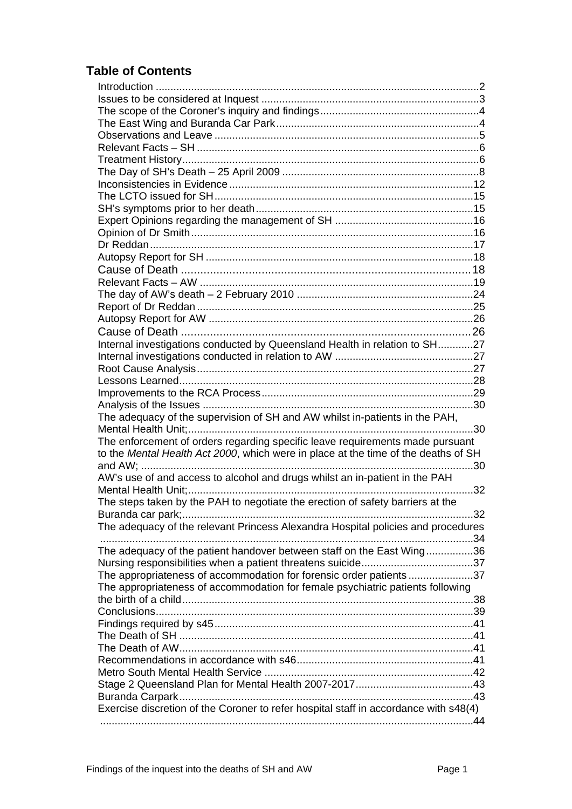# **Table of Contents**

| Internal investigations conducted by Queensland Health in relation to SH27           |     |
|--------------------------------------------------------------------------------------|-----|
|                                                                                      |     |
|                                                                                      |     |
|                                                                                      |     |
|                                                                                      |     |
|                                                                                      |     |
| The adequacy of the supervision of SH and AW whilst in-patients in the PAH,          |     |
|                                                                                      |     |
| The enforcement of orders regarding specific leave requirements made pursuant        |     |
| to the Mental Health Act 2000, which were in place at the time of the deaths of SH   |     |
|                                                                                      |     |
| AW's use of and access to alcohol and drugs whilst an in-patient in the PAH          |     |
|                                                                                      | .32 |
| The steps taken by the PAH to negotiate the erection of safety barriers at the       |     |
|                                                                                      |     |
| The adequacy of the relevant Princess Alexandra Hospital policies and procedures     |     |
|                                                                                      |     |
| The adequacy of the patient handover between staff on the East Wing36                |     |
|                                                                                      |     |
| The appropriateness of accommodation for forensic order patients37                   |     |
| The appropriateness of accommodation for female psychiatric patients following       |     |
|                                                                                      |     |
|                                                                                      |     |
|                                                                                      |     |
|                                                                                      |     |
|                                                                                      |     |
|                                                                                      |     |
|                                                                                      |     |
|                                                                                      |     |
|                                                                                      |     |
| Exercise discretion of the Coroner to refer hospital staff in accordance with s48(4) |     |
|                                                                                      |     |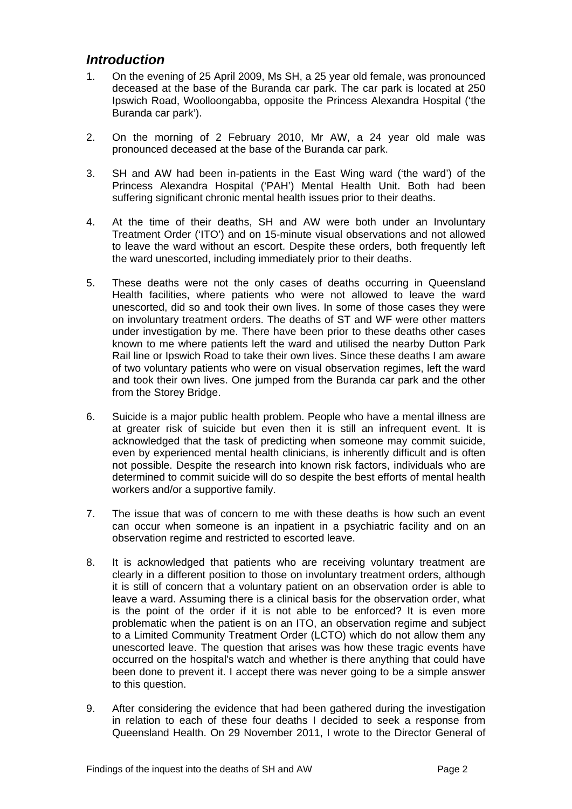# *Introduction*

- <span id="page-2-0"></span>1. On the evening of 25 April 2009, Ms SH, a 25 year old female, was pronounced deceased at the base of the Buranda car park. The car park is located at 250 Ipswich Road, Woolloongabba, opposite the Princess Alexandra Hospital ('the Buranda car park').
- 2. On the morning of 2 February 2010, Mr AW, a 24 year old male was pronounced deceased at the base of the Buranda car park.
- 3. SH and AW had been in-patients in the East Wing ward ('the ward') of the Princess Alexandra Hospital ('PAH') Mental Health Unit. Both had been suffering significant chronic mental health issues prior to their deaths.
- 4. At the time of their deaths, SH and AW were both under an Involuntary Treatment Order ('ITO') and on 15-minute visual observations and not allowed to leave the ward without an escort. Despite these orders, both frequently left the ward unescorted, including immediately prior to their deaths.
- 5. These deaths were not the only cases of deaths occurring in Queensland Health facilities, where patients who were not allowed to leave the ward unescorted, did so and took their own lives. In some of those cases they were on involuntary treatment orders. The deaths of ST and WF were other matters under investigation by me. There have been prior to these deaths other cases known to me where patients left the ward and utilised the nearby Dutton Park Rail line or Ipswich Road to take their own lives. Since these deaths I am aware of two voluntary patients who were on visual observation regimes, left the ward and took their own lives. One jumped from the Buranda car park and the other from the Storey Bridge.
- 6. Suicide is a major public health problem. People who have a mental illness are at greater risk of suicide but even then it is still an infrequent event. It is acknowledged that the task of predicting when someone may commit suicide, even by experienced mental health clinicians, is inherently difficult and is often not possible. Despite the research into known risk factors, individuals who are determined to commit suicide will do so despite the best efforts of mental health workers and/or a supportive family.
- 7. The issue that was of concern to me with these deaths is how such an event can occur when someone is an inpatient in a psychiatric facility and on an observation regime and restricted to escorted leave.
- 8. It is acknowledged that patients who are receiving voluntary treatment are clearly in a different position to those on involuntary treatment orders, although it is still of concern that a voluntary patient on an observation order is able to leave a ward. Assuming there is a clinical basis for the observation order, what is the point of the order if it is not able to be enforced? It is even more problematic when the patient is on an ITO, an observation regime and subject to a Limited Community Treatment Order (LCTO) which do not allow them any unescorted leave. The question that arises was how these tragic events have occurred on the hospital's watch and whether is there anything that could have been done to prevent it. I accept there was never going to be a simple answer to this question.
- 9. After considering the evidence that had been gathered during the investigation in relation to each of these four deaths I decided to seek a response from Queensland Health. On 29 November 2011, I wrote to the Director General of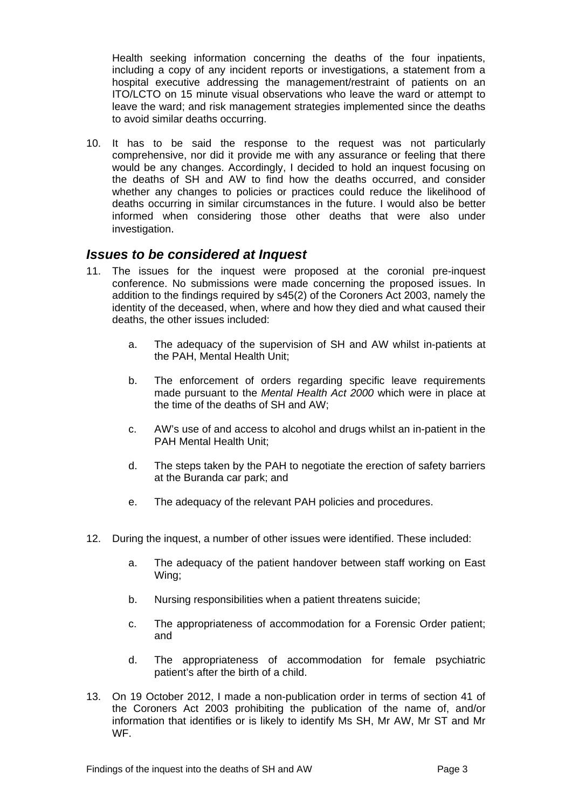Health seeking information concerning the deaths of the four inpatients, including a copy of any incident reports or investigations, a statement from a hospital executive addressing the management/restraint of patients on an ITO/LCTO on 15 minute visual observations who leave the ward or attempt to leave the ward; and risk management strategies implemented since the deaths to avoid similar deaths occurring.

10. It has to be said the response to the request was not particularly comprehensive, nor did it provide me with any assurance or feeling that there would be any changes. Accordingly, I decided to hold an inquest focusing on the deaths of SH and AW to find how the deaths occurred, and consider whether any changes to policies or practices could reduce the likelihood of deaths occurring in similar circumstances in the future. I would also be better informed when considering those other deaths that were also under investigation.

# <span id="page-3-0"></span>*Issues to be considered at Inquest*

- 11. The issues for the inquest were proposed at the coronial pre-inquest conference. No submissions were made concerning the proposed issues. In addition to the findings required by s45(2) of the Coroners Act 2003, namely the identity of the deceased, when, where and how they died and what caused their deaths, the other issues included:
	- a. The adequacy of the supervision of SH and AW whilst in-patients at the PAH, Mental Health Unit;
	- b. The enforcement of orders regarding specific leave requirements made pursuant to the *Mental Health Act 2000* which were in place at the time of the deaths of SH and AW;
	- c. AW's use of and access to alcohol and drugs whilst an in-patient in the PAH Mental Health Unit;
	- d. The steps taken by the PAH to negotiate the erection of safety barriers at the Buranda car park; and
	- e. The adequacy of the relevant PAH policies and procedures.
- 12. During the inquest, a number of other issues were identified. These included:
	- a. The adequacy of the patient handover between staff working on East Wing;
	- b. Nursing responsibilities when a patient threatens suicide;
	- c. The appropriateness of accommodation for a Forensic Order patient; and
	- d. The appropriateness of accommodation for female psychiatric patient's after the birth of a child.
- 13. On 19 October 2012, I made a non-publication order in terms of section 41 of the Coroners Act 2003 prohibiting the publication of the name of, and/or information that identifies or is likely to identify Ms SH, Mr AW, Mr ST and Mr WF.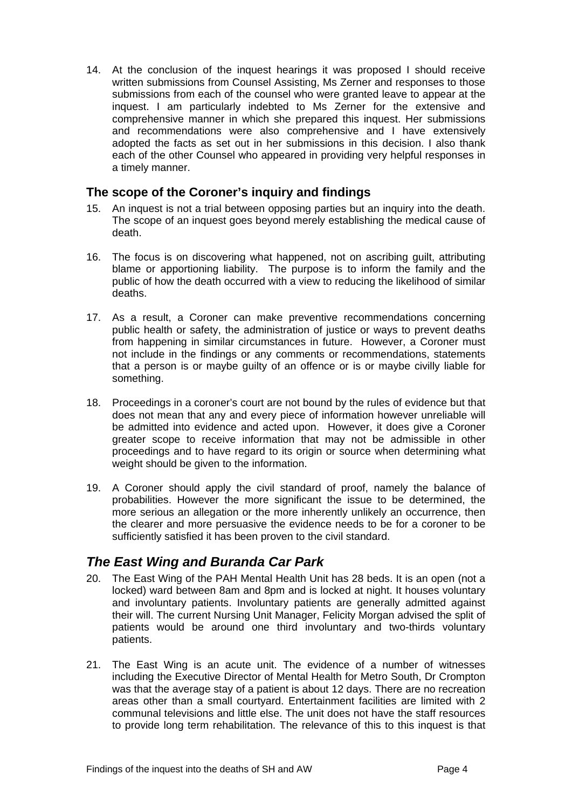14. At the conclusion of the inquest hearings it was proposed I should receive written submissions from Counsel Assisting, Ms Zerner and responses to those submissions from each of the counsel who were granted leave to appear at the inquest. I am particularly indebted to Ms Zerner for the extensive and comprehensive manner in which she prepared this inquest. Her submissions and recommendations were also comprehensive and I have extensively adopted the facts as set out in her submissions in this decision. I also thank each of the other Counsel who appeared in providing very helpful responses in a timely manner.

# <span id="page-4-0"></span>**The scope of the Coroner's inquiry and findings**

- 15. An inquest is not a trial between opposing parties but an inquiry into the death. The scope of an inquest goes beyond merely establishing the medical cause of death.
- 16. The focus is on discovering what happened, not on ascribing guilt, attributing blame or apportioning liability. The purpose is to inform the family and the public of how the death occurred with a view to reducing the likelihood of similar deaths.
- 17. As a result, a Coroner can make preventive recommendations concerning public health or safety, the administration of justice or ways to prevent deaths from happening in similar circumstances in future. However, a Coroner must not include in the findings or any comments or recommendations, statements that a person is or maybe guilty of an offence or is or maybe civilly liable for something.
- 18. Proceedings in a coroner's court are not bound by the rules of evidence but that does not mean that any and every piece of information however unreliable will be admitted into evidence and acted upon. However, it does give a Coroner greater scope to receive information that may not be admissible in other proceedings and to have regard to its origin or source when determining what weight should be given to the information.
- 19. A Coroner should apply the civil standard of proof, namely the balance of probabilities. However the more significant the issue to be determined, the more serious an allegation or the more inherently unlikely an occurrence, then the clearer and more persuasive the evidence needs to be for a coroner to be sufficiently satisfied it has been proven to the civil standard.

# <span id="page-4-1"></span>*The East Wing and Buranda Car Park*

- 20. The East Wing of the PAH Mental Health Unit has 28 beds. It is an open (not a locked) ward between 8am and 8pm and is locked at night. It houses voluntary and involuntary patients. Involuntary patients are generally admitted against their will. The current Nursing Unit Manager, Felicity Morgan advised the split of patients would be around one third involuntary and two-thirds voluntary patients.
- 21. The East Wing is an acute unit. The evidence of a number of witnesses including the Executive Director of Mental Health for Metro South, Dr Crompton was that the average stay of a patient is about 12 days. There are no recreation areas other than a small courtyard. Entertainment facilities are limited with 2 communal televisions and little else. The unit does not have the staff resources to provide long term rehabilitation. The relevance of this to this inquest is that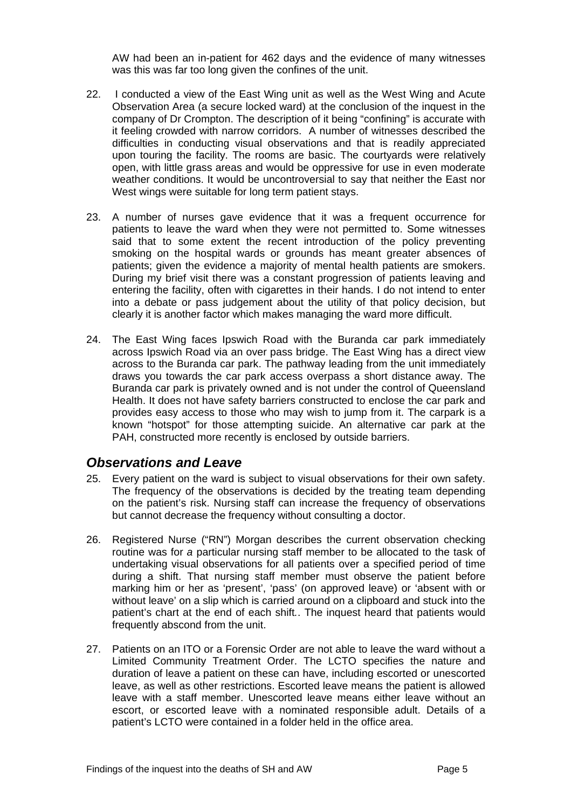AW had been an in-patient for 462 days and the evidence of many witnesses was this was far too long given the confines of the unit.

- 22. I conducted a view of the East Wing unit as well as the West Wing and Acute Observation Area (a secure locked ward) at the conclusion of the inquest in the company of Dr Crompton. The description of it being "confining" is accurate with it feeling crowded with narrow corridors. A number of witnesses described the difficulties in conducting visual observations and that is readily appreciated upon touring the facility. The rooms are basic. The courtyards were relatively open, with little grass areas and would be oppressive for use in even moderate weather conditions. It would be uncontroversial to say that neither the East nor West wings were suitable for long term patient stays.
- 23. A number of nurses gave evidence that it was a frequent occurrence for patients to leave the ward when they were not permitted to. Some witnesses said that to some extent the recent introduction of the policy preventing smoking on the hospital wards or grounds has meant greater absences of patients; given the evidence a majority of mental health patients are smokers. During my brief visit there was a constant progression of patients leaving and entering the facility, often with cigarettes in their hands. I do not intend to enter into a debate or pass judgement about the utility of that policy decision, but clearly it is another factor which makes managing the ward more difficult.
- 24. The East Wing faces Ipswich Road with the Buranda car park immediately across Ipswich Road via an over pass bridge. The East Wing has a direct view across to the Buranda car park. The pathway leading from the unit immediately draws you towards the car park access overpass a short distance away. The Buranda car park is privately owned and is not under the control of Queensland Health. It does not have safety barriers constructed to enclose the car park and provides easy access to those who may wish to jump from it. The carpark is a known "hotspot" for those attempting suicide. An alternative car park at the PAH, constructed more recently is enclosed by outside barriers.

# <span id="page-5-0"></span>*Observations and Leave*

- 25. Every patient on the ward is subject to visual observations for their own safety. The frequency of the observations is decided by the treating team depending on the patient's risk. Nursing staff can increase the frequency of observations but cannot decrease the frequency without consulting a doctor.
- 26. Registered Nurse ("RN") Morgan describes the current observation checking routine was for *a* particular nursing staff member to be allocated to the task of undertaking visual observations for all patients over a specified period of time during a shift. That nursing staff member must observe the patient before marking him or her as 'present', 'pass' (on approved leave) or 'absent with or without leave' on a slip which is carried around on a clipboard and stuck into the patient's chart at the end of each shift*.*. The inquest heard that patients would frequently abscond from the unit.
- 27. Patients on an ITO or a Forensic Order are not able to leave the ward without a Limited Community Treatment Order. The LCTO specifies the nature and duration of leave a patient on these can have, including escorted or unescorted leave, as well as other restrictions. Escorted leave means the patient is allowed leave with a staff member. Unescorted leave means either leave without an escort, or escorted leave with a nominated responsible adult. Details of a patient's LCTO were contained in a folder held in the office area.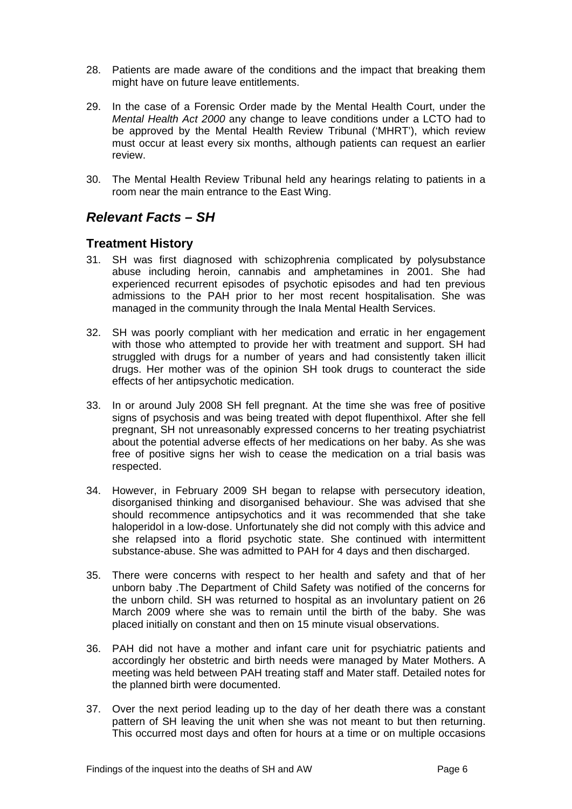- 28. Patients are made aware of the conditions and the impact that breaking them might have on future leave entitlements.
- 29. In the case of a Forensic Order made by the Mental Health Court, under the *Mental Health Act 2000* any change to leave conditions under a LCTO had to be approved by the Mental Health Review Tribunal ('MHRT'), which review must occur at least every six months, although patients can request an earlier review.
- 30. The Mental Health Review Tribunal held any hearings relating to patients in a room near the main entrance to the East Wing.

# <span id="page-6-0"></span>*Relevant Facts – SH*

# <span id="page-6-1"></span>**Treatment History**

- 31. SH was first diagnosed with schizophrenia complicated by polysubstance abuse including heroin, cannabis and amphetamines in 2001. She had experienced recurrent episodes of psychotic episodes and had ten previous admissions to the PAH prior to her most recent hospitalisation. She was managed in the community through the Inala Mental Health Services.
- 32. SH was poorly compliant with her medication and erratic in her engagement with those who attempted to provide her with treatment and support. SH had struggled with drugs for a number of years and had consistently taken illicit drugs. Her mother was of the opinion SH took drugs to counteract the side effects of her antipsychotic medication.
- 33. In or around July 2008 SH fell pregnant. At the time she was free of positive signs of psychosis and was being treated with depot flupenthixol. After she fell pregnant, SH not unreasonably expressed concerns to her treating psychiatrist about the potential adverse effects of her medications on her baby. As she was free of positive signs her wish to cease the medication on a trial basis was respected.
- 34. However, in February 2009 SH began to relapse with persecutory ideation, disorganised thinking and disorganised behaviour. She was advised that she should recommence antipsychotics and it was recommended that she take haloperidol in a low-dose. Unfortunately she did not comply with this advice and she relapsed into a florid psychotic state. She continued with intermittent substance-abuse. She was admitted to PAH for 4 days and then discharged.
- 35. There were concerns with respect to her health and safety and that of her unborn baby .The Department of Child Safety was notified of the concerns for the unborn child. SH was returned to hospital as an involuntary patient on 26 March 2009 where she was to remain until the birth of the baby. She was placed initially on constant and then on 15 minute visual observations.
- 36. PAH did not have a mother and infant care unit for psychiatric patients and accordingly her obstetric and birth needs were managed by Mater Mothers. A meeting was held between PAH treating staff and Mater staff. Detailed notes for the planned birth were documented.
- 37. Over the next period leading up to the day of her death there was a constant pattern of SH leaving the unit when she was not meant to but then returning. This occurred most days and often for hours at a time or on multiple occasions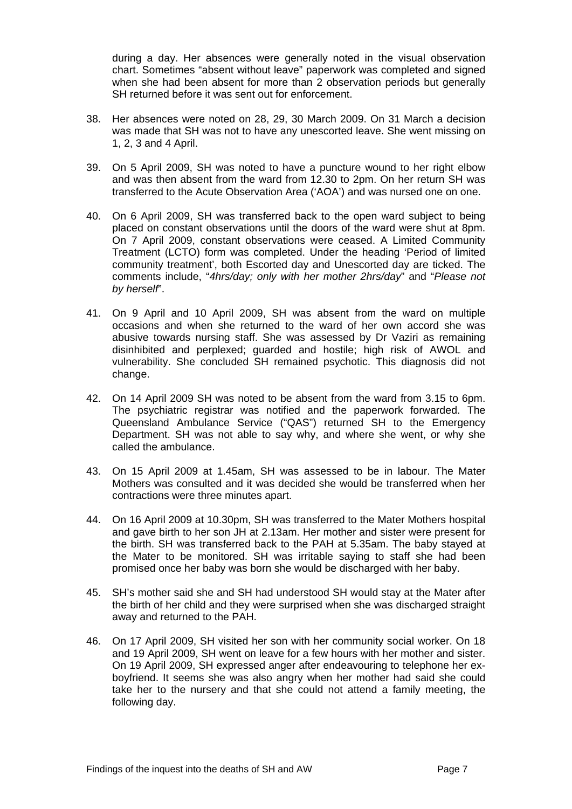during a day. Her absences were generally noted in the visual observation chart. Sometimes "absent without leave" paperwork was completed and signed when she had been absent for more than 2 observation periods but generally SH returned before it was sent out for enforcement.

- 38. Her absences were noted on 28, 29, 30 March 2009. On 31 March a decision was made that SH was not to have any unescorted leave. She went missing on 1, 2, 3 and 4 April.
- 39. On 5 April 2009, SH was noted to have a puncture wound to her right elbow and was then absent from the ward from 12.30 to 2pm. On her return SH was transferred to the Acute Observation Area ('AOA') and was nursed one on one.
- 40. On 6 April 2009, SH was transferred back to the open ward subject to being placed on constant observations until the doors of the ward were shut at 8pm. On 7 April 2009, constant observations were ceased. A Limited Community Treatment (LCTO) form was completed. Under the heading 'Period of limited community treatment', both Escorted day and Unescorted day are ticked. The comments include, "*4hrs/day; only with her mother 2hrs/day*" and "*Please not by herself*".
- 41. On 9 April and 10 April 2009, SH was absent from the ward on multiple occasions and when she returned to the ward of her own accord she was abusive towards nursing staff. She was assessed by Dr Vaziri as remaining disinhibited and perplexed; guarded and hostile; high risk of AWOL and vulnerability. She concluded SH remained psychotic. This diagnosis did not change.
- 42. On 14 April 2009 SH was noted to be absent from the ward from 3.15 to 6pm. The psychiatric registrar was notified and the paperwork forwarded. The Queensland Ambulance Service ("QAS") returned SH to the Emergency Department. SH was not able to say why, and where she went, or why she called the ambulance.
- 43. On 15 April 2009 at 1.45am, SH was assessed to be in labour. The Mater Mothers was consulted and it was decided she would be transferred when her contractions were three minutes apart.
- 44. On 16 April 2009 at 10.30pm, SH was transferred to the Mater Mothers hospital and gave birth to her son JH at 2.13am. Her mother and sister were present for the birth. SH was transferred back to the PAH at 5.35am. The baby stayed at the Mater to be monitored. SH was irritable saying to staff she had been promised once her baby was born she would be discharged with her baby.
- 45. SH's mother said she and SH had understood SH would stay at the Mater after the birth of her child and they were surprised when she was discharged straight away and returned to the PAH.
- 46. On 17 April 2009, SH visited her son with her community social worker. On 18 and 19 April 2009, SH went on leave for a few hours with her mother and sister. On 19 April 2009, SH expressed anger after endeavouring to telephone her exboyfriend. It seems she was also angry when her mother had said she could take her to the nursery and that she could not attend a family meeting, the following day.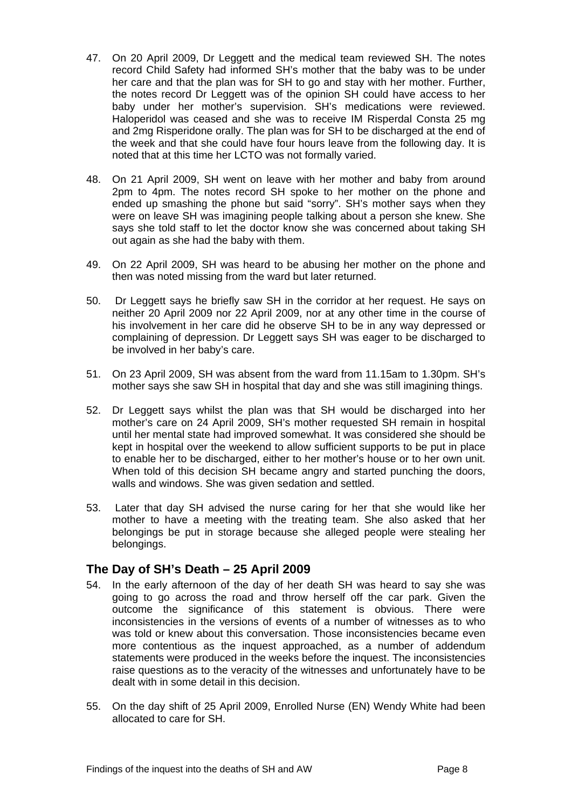- 47. On 20 April 2009, Dr Leggett and the medical team reviewed SH. The notes record Child Safety had informed SH's mother that the baby was to be under her care and that the plan was for SH to go and stay with her mother. Further, the notes record Dr Leggett was of the opinion SH could have access to her baby under her mother's supervision. SH's medications were reviewed. Haloperidol was ceased and she was to receive IM Risperdal Consta 25 mg and 2mg Risperidone orally. The plan was for SH to be discharged at the end of the week and that she could have four hours leave from the following day. It is noted that at this time her LCTO was not formally varied.
- 48. On 21 April 2009, SH went on leave with her mother and baby from around 2pm to 4pm. The notes record SH spoke to her mother on the phone and ended up smashing the phone but said "sorry". SH's mother says when they were on leave SH was imagining people talking about a person she knew. She says she told staff to let the doctor know she was concerned about taking SH out again as she had the baby with them.
- 49. On 22 April 2009, SH was heard to be abusing her mother on the phone and then was noted missing from the ward but later returned.
- 50. Dr Leggett says he briefly saw SH in the corridor at her request. He says on neither 20 April 2009 nor 22 April 2009, nor at any other time in the course of his involvement in her care did he observe SH to be in any way depressed or complaining of depression. Dr Leggett says SH was eager to be discharged to be involved in her baby's care.
- 51. On 23 April 2009, SH was absent from the ward from 11.15am to 1.30pm. SH's mother says she saw SH in hospital that day and she was still imagining things.
- 52. Dr Leggett says whilst the plan was that SH would be discharged into her mother's care on 24 April 2009, SH's mother requested SH remain in hospital until her mental state had improved somewhat. It was considered she should be kept in hospital over the weekend to allow sufficient supports to be put in place to enable her to be discharged, either to her mother's house or to her own unit. When told of this decision SH became angry and started punching the doors, walls and windows. She was given sedation and settled.
- 53. Later that day SH advised the nurse caring for her that she would like her mother to have a meeting with the treating team. She also asked that her belongings be put in storage because she alleged people were stealing her belongings.

# <span id="page-8-0"></span>**The Day of SH's Death – 25 April 2009**

- 54. In the early afternoon of the day of her death SH was heard to say she was going to go across the road and throw herself off the car park. Given the outcome the significance of this statement is obvious. There were inconsistencies in the versions of events of a number of witnesses as to who was told or knew about this conversation. Those inconsistencies became even more contentious as the inquest approached, as a number of addendum statements were produced in the weeks before the inquest. The inconsistencies raise questions as to the veracity of the witnesses and unfortunately have to be dealt with in some detail in this decision.
- 55. On the day shift of 25 April 2009, Enrolled Nurse (EN) Wendy White had been allocated to care for SH.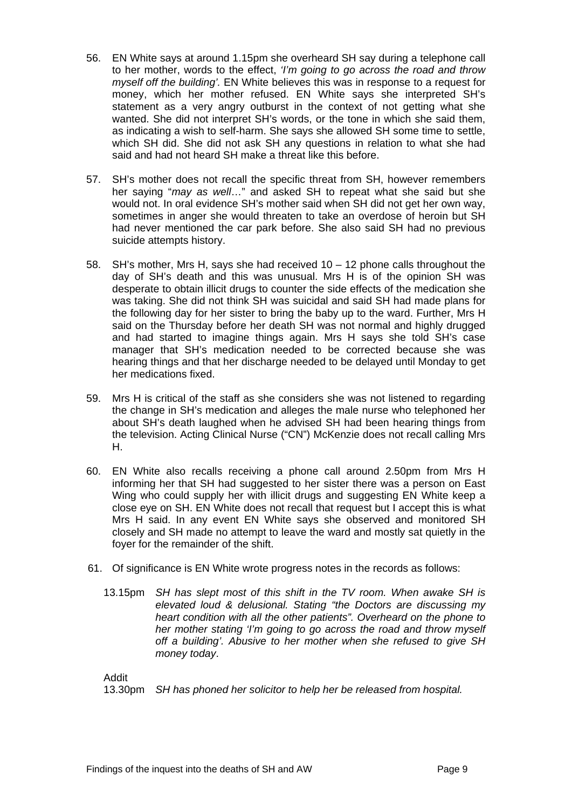- 56. EN White says at around 1.15pm she overheard SH say during a telephone call to her mother, words to the effect, *'I'm going to go across the road and throw myself off the building'.* EN White believes this was in response to a request for money, which her mother refused. EN White says she interpreted SH's statement as a very angry outburst in the context of not getting what she wanted. She did not interpret SH's words, or the tone in which she said them, as indicating a wish to self-harm. She says she allowed SH some time to settle, which SH did. She did not ask SH any questions in relation to what she had said and had not heard SH make a threat like this before.
- 57. SH's mother does not recall the specific threat from SH, however remembers her saying "*may as well*…" and asked SH to repeat what she said but she would not. In oral evidence SH's mother said when SH did not get her own way, sometimes in anger she would threaten to take an overdose of heroin but SH had never mentioned the car park before. She also said SH had no previous suicide attempts history.
- 58. SH's mother, Mrs H, says she had received 10 12 phone calls throughout the day of SH's death and this was unusual. Mrs H is of the opinion SH was desperate to obtain illicit drugs to counter the side effects of the medication she was taking. She did not think SH was suicidal and said SH had made plans for the following day for her sister to bring the baby up to the ward. Further, Mrs H said on the Thursday before her death SH was not normal and highly drugged and had started to imagine things again. Mrs H says she told SH's case manager that SH's medication needed to be corrected because she was hearing things and that her discharge needed to be delayed until Monday to get her medications fixed.
- 59. Mrs H is critical of the staff as she considers she was not listened to regarding the change in SH's medication and alleges the male nurse who telephoned her about SH's death laughed when he advised SH had been hearing things from the television. Acting Clinical Nurse ("CN") McKenzie does not recall calling Mrs H.
- 60. EN White also recalls receiving a phone call around 2.50pm from Mrs H informing her that SH had suggested to her sister there was a person on East Wing who could supply her with illicit drugs and suggesting EN White keep a close eye on SH. EN White does not recall that request but I accept this is what Mrs H said. In any event EN White says she observed and monitored SH closely and SH made no attempt to leave the ward and mostly sat quietly in the foyer for the remainder of the shift.
- 61. Of significance is EN White wrote progress notes in the records as follows:
	- 13.15pm *SH has slept most of this shift in the TV room. When awake SH is elevated loud & delusional. Stating "the Doctors are discussing my heart condition with all the other patients". Overheard on the phone to her mother stating 'I'm going to go across the road and throw myself off a building'. Abusive to her mother when she refused to give SH money today*.

Addit

13.30pm *SH has phoned her solicitor to help her be released from hospital.*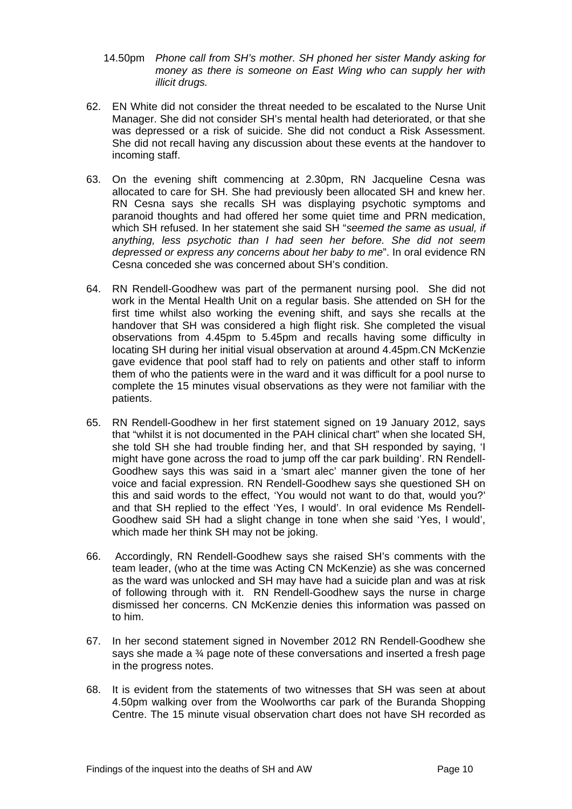- 14.50pm *Phone call from SH's mother. SH phoned her sister Mandy asking for money as there is someone on East Wing who can supply her with illicit drugs.*
- 62. EN White did not consider the threat needed to be escalated to the Nurse Unit Manager. She did not consider SH's mental health had deteriorated, or that she was depressed or a risk of suicide. She did not conduct a Risk Assessment. She did not recall having any discussion about these events at the handover to incoming staff.
- 63. On the evening shift commencing at 2.30pm, RN Jacqueline Cesna was allocated to care for SH. She had previously been allocated SH and knew her. RN Cesna says she recalls SH was displaying psychotic symptoms and paranoid thoughts and had offered her some quiet time and PRN medication, which SH refused. In her statement she said SH "*seemed the same as usual, if anything, less psychotic than I had seen her before. She did not seem depressed or express any concerns about her baby to me*". In oral evidence RN Cesna conceded she was concerned about SH's condition.
- 64. RN Rendell-Goodhew was part of the permanent nursing pool. She did not work in the Mental Health Unit on a regular basis. She attended on SH for the first time whilst also working the evening shift, and says she recalls at the handover that SH was considered a high flight risk. She completed the visual observations from 4.45pm to 5.45pm and recalls having some difficulty in locating SH during her initial visual observation at around 4.45pm.CN McKenzie gave evidence that pool staff had to rely on patients and other staff to inform them of who the patients were in the ward and it was difficult for a pool nurse to complete the 15 minutes visual observations as they were not familiar with the patients.
- 65. RN Rendell-Goodhew in her first statement signed on 19 January 2012, says that "whilst it is not documented in the PAH clinical chart" when she located SH, she told SH she had trouble finding her, and that SH responded by saying, 'I might have gone across the road to jump off the car park building'. RN Rendell-Goodhew says this was said in a 'smart alec' manner given the tone of her voice and facial expression. RN Rendell-Goodhew says she questioned SH on this and said words to the effect, 'You would not want to do that, would you?' and that SH replied to the effect 'Yes, I would'. In oral evidence Ms Rendell-Goodhew said SH had a slight change in tone when she said 'Yes, I would', which made her think SH may not be joking.
- 66. Accordingly, RN Rendell-Goodhew says she raised SH's comments with the team leader, (who at the time was Acting CN McKenzie) as she was concerned as the ward was unlocked and SH may have had a suicide plan and was at risk of following through with it. RN Rendell-Goodhew says the nurse in charge dismissed her concerns. CN McKenzie denies this information was passed on to him.
- 67. In her second statement signed in November 2012 RN Rendell-Goodhew she says she made a ¾ page note of these conversations and inserted a fresh page in the progress notes.
- 68. It is evident from the statements of two witnesses that SH was seen at about 4.50pm walking over from the Woolworths car park of the Buranda Shopping Centre. The 15 minute visual observation chart does not have SH recorded as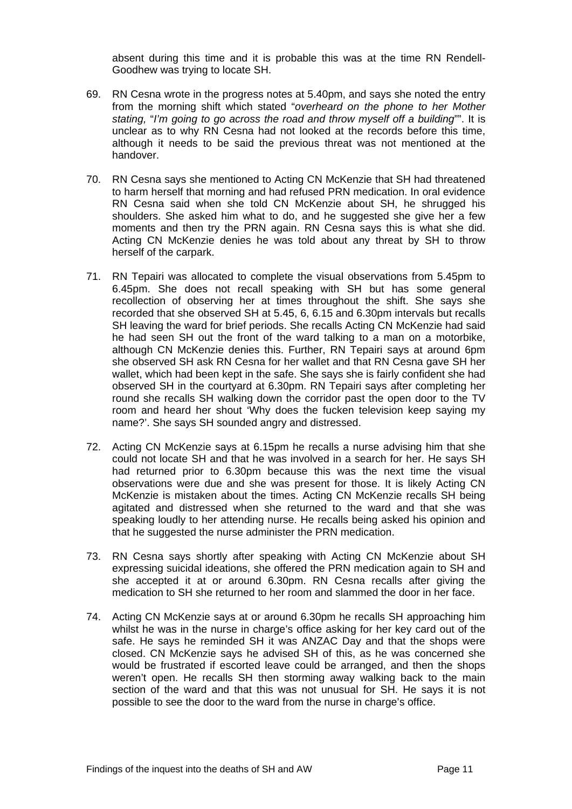absent during this time and it is probable this was at the time RN Rendell-Goodhew was trying to locate SH.

- 69. RN Cesna wrote in the progress notes at 5.40pm, and says she noted the entry from the morning shift which stated "*overheard on the phone to her Mother stating,* "*I'm going to go across the road and throw myself off a building*"". It is unclear as to why RN Cesna had not looked at the records before this time, although it needs to be said the previous threat was not mentioned at the handover.
- 70. RN Cesna says she mentioned to Acting CN McKenzie that SH had threatened to harm herself that morning and had refused PRN medication. In oral evidence RN Cesna said when she told CN McKenzie about SH, he shrugged his shoulders. She asked him what to do, and he suggested she give her a few moments and then try the PRN again. RN Cesna says this is what she did. Acting CN McKenzie denies he was told about any threat by SH to throw herself of the carpark.
- 71. RN Tepairi was allocated to complete the visual observations from 5.45pm to 6.45pm. She does not recall speaking with SH but has some general recollection of observing her at times throughout the shift. She says she recorded that she observed SH at 5.45, 6, 6.15 and 6.30pm intervals but recalls SH leaving the ward for brief periods. She recalls Acting CN McKenzie had said he had seen SH out the front of the ward talking to a man on a motorbike, although CN McKenzie denies this. Further, RN Tepairi says at around 6pm she observed SH ask RN Cesna for her wallet and that RN Cesna gave SH her wallet, which had been kept in the safe. She says she is fairly confident she had observed SH in the courtyard at 6.30pm. RN Tepairi says after completing her round she recalls SH walking down the corridor past the open door to the TV room and heard her shout 'Why does the fucken television keep saying my name?'. She says SH sounded angry and distressed.
- 72. Acting CN McKenzie says at 6.15pm he recalls a nurse advising him that she could not locate SH and that he was involved in a search for her. He says SH had returned prior to 6.30pm because this was the next time the visual observations were due and she was present for those. It is likely Acting CN McKenzie is mistaken about the times. Acting CN McKenzie recalls SH being agitated and distressed when she returned to the ward and that she was speaking loudly to her attending nurse. He recalls being asked his opinion and that he suggested the nurse administer the PRN medication.
- 73. RN Cesna says shortly after speaking with Acting CN McKenzie about SH expressing suicidal ideations, she offered the PRN medication again to SH and she accepted it at or around 6.30pm. RN Cesna recalls after giving the medication to SH she returned to her room and slammed the door in her face.
- 74. Acting CN McKenzie says at or around 6.30pm he recalls SH approaching him whilst he was in the nurse in charge's office asking for her key card out of the safe. He says he reminded SH it was ANZAC Day and that the shops were closed. CN McKenzie says he advised SH of this, as he was concerned she would be frustrated if escorted leave could be arranged, and then the shops weren't open. He recalls SH then storming away walking back to the main section of the ward and that this was not unusual for SH. He says it is not possible to see the door to the ward from the nurse in charge's office.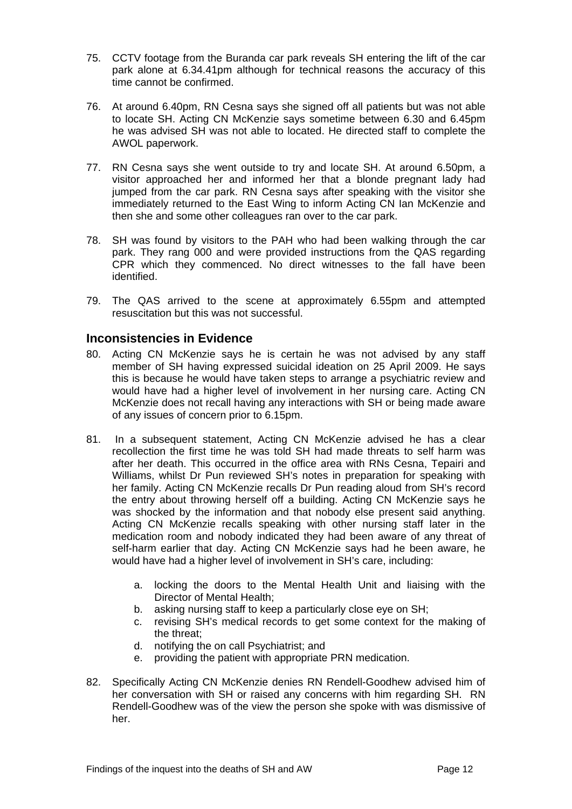- 75. CCTV footage from the Buranda car park reveals SH entering the lift of the car park alone at 6.34.41pm although for technical reasons the accuracy of this time cannot be confirmed.
- 76. At around 6.40pm, RN Cesna says she signed off all patients but was not able to locate SH. Acting CN McKenzie says sometime between 6.30 and 6.45pm he was advised SH was not able to located. He directed staff to complete the AWOL paperwork.
- 77. RN Cesna says she went outside to try and locate SH. At around 6.50pm, a visitor approached her and informed her that a blonde pregnant lady had jumped from the car park. RN Cesna says after speaking with the visitor she immediately returned to the East Wing to inform Acting CN Ian McKenzie and then she and some other colleagues ran over to the car park.
- 78. SH was found by visitors to the PAH who had been walking through the car park. They rang 000 and were provided instructions from the QAS regarding CPR which they commenced. No direct witnesses to the fall have been identified.
- 79. The QAS arrived to the scene at approximately 6.55pm and attempted resuscitation but this was not successful.

# <span id="page-12-0"></span>**Inconsistencies in Evidence**

- 80. Acting CN McKenzie says he is certain he was not advised by any staff member of SH having expressed suicidal ideation on 25 April 2009. He says this is because he would have taken steps to arrange a psychiatric review and would have had a higher level of involvement in her nursing care. Acting CN McKenzie does not recall having any interactions with SH or being made aware of any issues of concern prior to 6.15pm.
- 81. In a subsequent statement, Acting CN McKenzie advised he has a clear recollection the first time he was told SH had made threats to self harm was after her death. This occurred in the office area with RNs Cesna, Tepairi and Williams, whilst Dr Pun reviewed SH's notes in preparation for speaking with her family. Acting CN McKenzie recalls Dr Pun reading aloud from SH's record the entry about throwing herself off a building. Acting CN McKenzie says he was shocked by the information and that nobody else present said anything. Acting CN McKenzie recalls speaking with other nursing staff later in the medication room and nobody indicated they had been aware of any threat of self-harm earlier that day. Acting CN McKenzie says had he been aware, he would have had a higher level of involvement in SH's care, including:
	- a. locking the doors to the Mental Health Unit and liaising with the Director of Mental Health;
	- b. asking nursing staff to keep a particularly close eye on SH;
	- c. revising SH's medical records to get some context for the making of the threat;
	- d. notifying the on call Psychiatrist; and
	- e. providing the patient with appropriate PRN medication.
- 82. Specifically Acting CN McKenzie denies RN Rendell-Goodhew advised him of her conversation with SH or raised any concerns with him regarding SH. RN Rendell-Goodhew was of the view the person she spoke with was dismissive of her.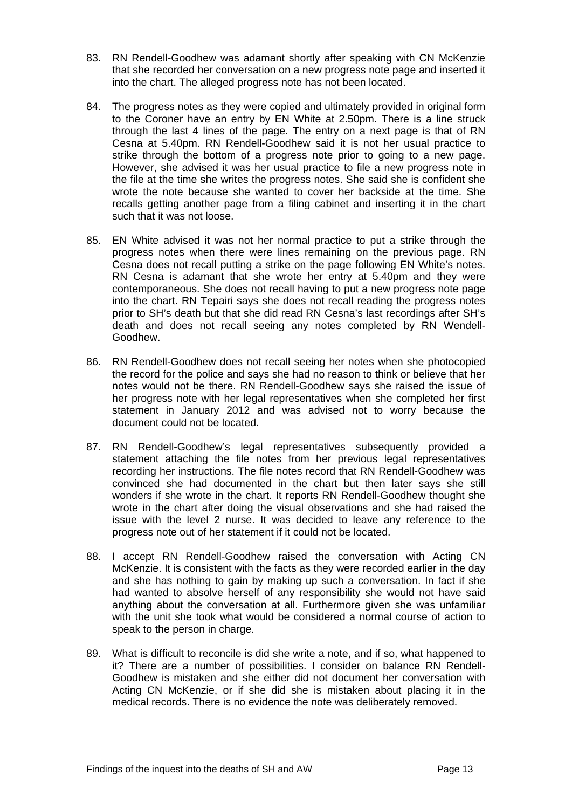- 83. RN Rendell-Goodhew was adamant shortly after speaking with CN McKenzie that she recorded her conversation on a new progress note page and inserted it into the chart. The alleged progress note has not been located.
- 84. The progress notes as they were copied and ultimately provided in original form to the Coroner have an entry by EN White at 2.50pm. There is a line struck through the last 4 lines of the page. The entry on a next page is that of RN Cesna at 5.40pm. RN Rendell-Goodhew said it is not her usual practice to strike through the bottom of a progress note prior to going to a new page. However, she advised it was her usual practice to file a new progress note in the file at the time she writes the progress notes. She said she is confident she wrote the note because she wanted to cover her backside at the time. She recalls getting another page from a filing cabinet and inserting it in the chart such that it was not loose.
- 85. EN White advised it was not her normal practice to put a strike through the progress notes when there were lines remaining on the previous page. RN Cesna does not recall putting a strike on the page following EN White's notes. RN Cesna is adamant that she wrote her entry at 5.40pm and they were contemporaneous. She does not recall having to put a new progress note page into the chart. RN Tepairi says she does not recall reading the progress notes prior to SH's death but that she did read RN Cesna's last recordings after SH's death and does not recall seeing any notes completed by RN Wendell-Goodhew.
- 86. RN Rendell-Goodhew does not recall seeing her notes when she photocopied the record for the police and says she had no reason to think or believe that her notes would not be there. RN Rendell-Goodhew says she raised the issue of her progress note with her legal representatives when she completed her first statement in January 2012 and was advised not to worry because the document could not be located.
- 87. RN Rendell-Goodhew's legal representatives subsequently provided a statement attaching the file notes from her previous legal representatives recording her instructions. The file notes record that RN Rendell-Goodhew was convinced she had documented in the chart but then later says she still wonders if she wrote in the chart. It reports RN Rendell-Goodhew thought she wrote in the chart after doing the visual observations and she had raised the issue with the level 2 nurse. It was decided to leave any reference to the progress note out of her statement if it could not be located.
- 88. I accept RN Rendell-Goodhew raised the conversation with Acting CN McKenzie. It is consistent with the facts as they were recorded earlier in the day and she has nothing to gain by making up such a conversation. In fact if she had wanted to absolve herself of any responsibility she would not have said anything about the conversation at all. Furthermore given she was unfamiliar with the unit she took what would be considered a normal course of action to speak to the person in charge.
- 89. What is difficult to reconcile is did she write a note, and if so, what happened to it? There are a number of possibilities. I consider on balance RN Rendell-Goodhew is mistaken and she either did not document her conversation with Acting CN McKenzie, or if she did she is mistaken about placing it in the medical records. There is no evidence the note was deliberately removed.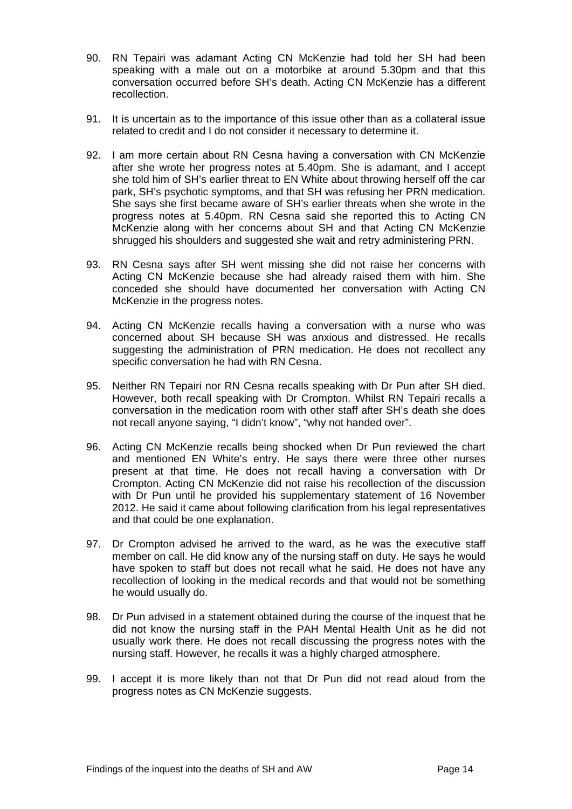- 90. RN Tepairi was adamant Acting CN McKenzie had told her SH had been speaking with a male out on a motorbike at around 5.30pm and that this conversation occurred before SH's death. Acting CN McKenzie has a different recollection.
- 91. It is uncertain as to the importance of this issue other than as a collateral issue related to credit and I do not consider it necessary to determine it.
- 92. I am more certain about RN Cesna having a conversation with CN McKenzie after she wrote her progress notes at 5.40pm. She is adamant, and I accept she told him of SH's earlier threat to EN White about throwing herself off the car park, SH's psychotic symptoms, and that SH was refusing her PRN medication. She says she first became aware of SH's earlier threats when she wrote in the progress notes at 5.40pm. RN Cesna said she reported this to Acting CN McKenzie along with her concerns about SH and that Acting CN McKenzie shrugged his shoulders and suggested she wait and retry administering PRN.
- 93. RN Cesna says after SH went missing she did not raise her concerns with Acting CN McKenzie because she had already raised them with him. She conceded she should have documented her conversation with Acting CN McKenzie in the progress notes.
- 94. Acting CN McKenzie recalls having a conversation with a nurse who was concerned about SH because SH was anxious and distressed. He recalls suggesting the administration of PRN medication. He does not recollect any specific conversation he had with RN Cesna.
- 95. Neither RN Tepairi nor RN Cesna recalls speaking with Dr Pun after SH died. However, both recall speaking with Dr Crompton. Whilst RN Tepairi recalls a conversation in the medication room with other staff after SH's death she does not recall anyone saying, "I didn't know", "why not handed over".
- 96. Acting CN McKenzie recalls being shocked when Dr Pun reviewed the chart and mentioned EN White's entry. He says there were three other nurses present at that time. He does not recall having a conversation with Dr Crompton. Acting CN McKenzie did not raise his recollection of the discussion with Dr Pun until he provided his supplementary statement of 16 November 2012. He said it came about following clarification from his legal representatives and that could be one explanation.
- 97. Dr Crompton advised he arrived to the ward, as he was the executive staff member on call. He did know any of the nursing staff on duty. He says he would have spoken to staff but does not recall what he said. He does not have any recollection of looking in the medical records and that would not be something he would usually do.
- 98. Dr Pun advised in a statement obtained during the course of the inquest that he did not know the nursing staff in the PAH Mental Health Unit as he did not usually work there. He does not recall discussing the progress notes with the nursing staff. However, he recalls it was a highly charged atmosphere.
- 99. I accept it is more likely than not that Dr Pun did not read aloud from the progress notes as CN McKenzie suggests.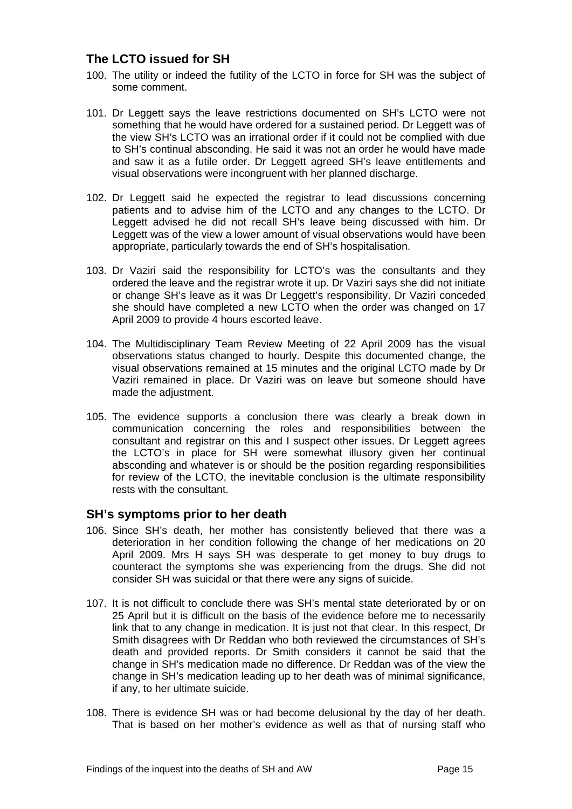# <span id="page-15-0"></span>**The LCTO issued for SH**

- 100. The utility or indeed the futility of the LCTO in force for SH was the subject of some comment.
- 101. Dr Leggett says the leave restrictions documented on SH's LCTO were not something that he would have ordered for a sustained period. Dr Leggett was of the view SH's LCTO was an irrational order if it could not be complied with due to SH's continual absconding. He said it was not an order he would have made and saw it as a futile order. Dr Leggett agreed SH's leave entitlements and visual observations were incongruent with her planned discharge.
- 102. Dr Leggett said he expected the registrar to lead discussions concerning patients and to advise him of the LCTO and any changes to the LCTO. Dr Leggett advised he did not recall SH's leave being discussed with him. Dr Leggett was of the view a lower amount of visual observations would have been appropriate, particularly towards the end of SH's hospitalisation.
- 103. Dr Vaziri said the responsibility for LCTO's was the consultants and they ordered the leave and the registrar wrote it up. Dr Vaziri says she did not initiate or change SH's leave as it was Dr Leggett's responsibility. Dr Vaziri conceded she should have completed a new LCTO when the order was changed on 17 April 2009 to provide 4 hours escorted leave.
- 104. The Multidisciplinary Team Review Meeting of 22 April 2009 has the visual observations status changed to hourly. Despite this documented change, the visual observations remained at 15 minutes and the original LCTO made by Dr Vaziri remained in place. Dr Vaziri was on leave but someone should have made the adjustment.
- 105. The evidence supports a conclusion there was clearly a break down in communication concerning the roles and responsibilities between the consultant and registrar on this and I suspect other issues. Dr Leggett agrees the LCTO's in place for SH were somewhat illusory given her continual absconding and whatever is or should be the position regarding responsibilities for review of the LCTO, the inevitable conclusion is the ultimate responsibility rests with the consultant.

# <span id="page-15-1"></span>**SH's symptoms prior to her death**

- 106. Since SH's death, her mother has consistently believed that there was a deterioration in her condition following the change of her medications on 20 April 2009. Mrs H says SH was desperate to get money to buy drugs to counteract the symptoms she was experiencing from the drugs. She did not consider SH was suicidal or that there were any signs of suicide.
- 107. It is not difficult to conclude there was SH's mental state deteriorated by or on 25 April but it is difficult on the basis of the evidence before me to necessarily link that to any change in medication. It is just not that clear. In this respect, Dr Smith disagrees with Dr Reddan who both reviewed the circumstances of SH's death and provided reports. Dr Smith considers it cannot be said that the change in SH's medication made no difference. Dr Reddan was of the view the change in SH's medication leading up to her death was of minimal significance, if any, to her ultimate suicide.
- 108. There is evidence SH was or had become delusional by the day of her death. That is based on her mother's evidence as well as that of nursing staff who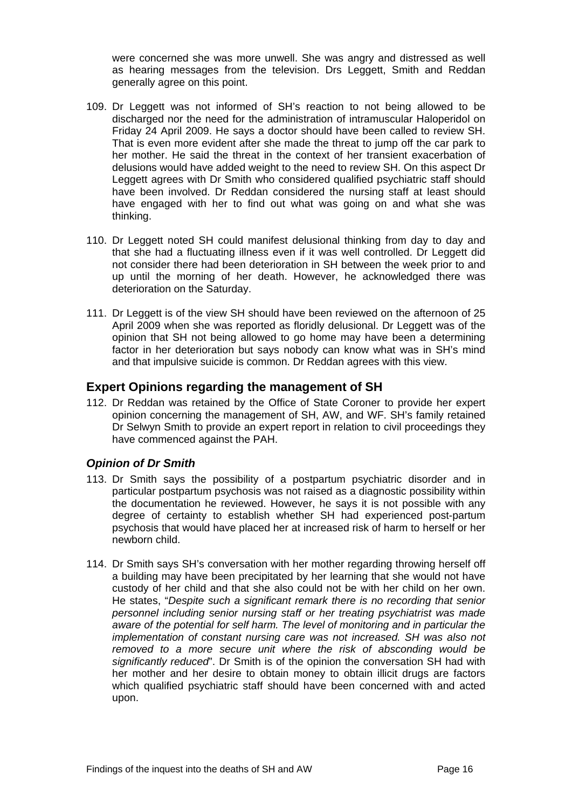were concerned she was more unwell. She was angry and distressed as well as hearing messages from the television. Drs Leggett, Smith and Reddan generally agree on this point.

- 109. Dr Leggett was not informed of SH's reaction to not being allowed to be discharged nor the need for the administration of intramuscular Haloperidol on Friday 24 April 2009. He says a doctor should have been called to review SH. That is even more evident after she made the threat to jump off the car park to her mother. He said the threat in the context of her transient exacerbation of delusions would have added weight to the need to review SH. On this aspect Dr Leggett agrees with Dr Smith who considered qualified psychiatric staff should have been involved. Dr Reddan considered the nursing staff at least should have engaged with her to find out what was going on and what she was thinking.
- 110. Dr Leggett noted SH could manifest delusional thinking from day to day and that she had a fluctuating illness even if it was well controlled. Dr Leggett did not consider there had been deterioration in SH between the week prior to and up until the morning of her death. However, he acknowledged there was deterioration on the Saturday.
- 111. Dr Leggett is of the view SH should have been reviewed on the afternoon of 25 April 2009 when she was reported as floridly delusional. Dr Leggett was of the opinion that SH not being allowed to go home may have been a determining factor in her deterioration but says nobody can know what was in SH's mind and that impulsive suicide is common. Dr Reddan agrees with this view.

# <span id="page-16-0"></span>**Expert Opinions regarding the management of SH**

112. Dr Reddan was retained by the Office of State Coroner to provide her expert opinion concerning the management of SH, AW, and WF. SH's family retained Dr Selwyn Smith to provide an expert report in relation to civil proceedings they have commenced against the PAH.

# <span id="page-16-1"></span>*Opinion of Dr Smith*

- 113. Dr Smith says the possibility of a postpartum psychiatric disorder and in particular postpartum psychosis was not raised as a diagnostic possibility within the documentation he reviewed. However, he says it is not possible with any degree of certainty to establish whether SH had experienced post-partum psychosis that would have placed her at increased risk of harm to herself or her newborn child.
- 114. Dr Smith says SH's conversation with her mother regarding throwing herself off a building may have been precipitated by her learning that she would not have custody of her child and that she also could not be with her child on her own. He states, "*Despite such a significant remark there is no recording that senior personnel including senior nursing staff or her treating psychiatrist was made aware of the potential for self harm. The level of monitoring and in particular the implementation of constant nursing care was not increased. SH was also not removed to a more secure unit where the risk of absconding would be significantly reduced*". Dr Smith is of the opinion the conversation SH had with her mother and her desire to obtain money to obtain illicit drugs are factors which qualified psychiatric staff should have been concerned with and acted upon.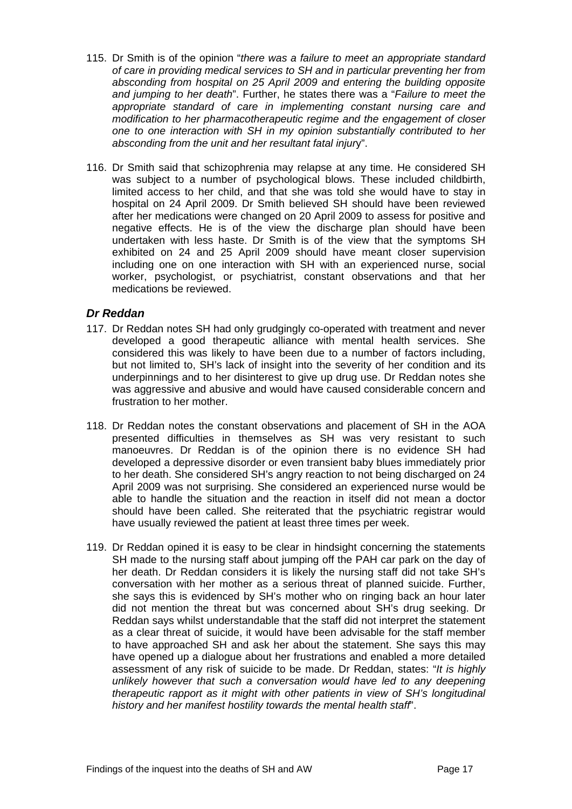- 115. Dr Smith is of the opinion "*there was a failure to meet an appropriate standard of care in providing medical services to SH and in particular preventing her from absconding from hospital on 25 April 2009 and entering the building opposite and jumping to her death*". Further, he states there was a "*Failure to meet the appropriate standard of care in implementing constant nursing care and modification to her pharmacotherapeutic regime and the engagement of closer one to one interaction with SH in my opinion substantially contributed to her absconding from the unit and her resultant fatal injur*y".
- 116. Dr Smith said that schizophrenia may relapse at any time. He considered SH was subject to a number of psychological blows. These included childbirth, limited access to her child, and that she was told she would have to stay in hospital on 24 April 2009. Dr Smith believed SH should have been reviewed after her medications were changed on 20 April 2009 to assess for positive and negative effects. He is of the view the discharge plan should have been undertaken with less haste. Dr Smith is of the view that the symptoms SH exhibited on 24 and 25 April 2009 should have meant closer supervision including one on one interaction with SH with an experienced nurse, social worker, psychologist, or psychiatrist, constant observations and that her medications be reviewed.

### <span id="page-17-0"></span>*Dr Reddan*

- 117. Dr Reddan notes SH had only grudgingly co-operated with treatment and never developed a good therapeutic alliance with mental health services. She considered this was likely to have been due to a number of factors including, but not limited to, SH's lack of insight into the severity of her condition and its underpinnings and to her disinterest to give up drug use. Dr Reddan notes she was aggressive and abusive and would have caused considerable concern and frustration to her mother.
- 118. Dr Reddan notes the constant observations and placement of SH in the AOA presented difficulties in themselves as SH was very resistant to such manoeuvres. Dr Reddan is of the opinion there is no evidence SH had developed a depressive disorder or even transient baby blues immediately prior to her death. She considered SH's angry reaction to not being discharged on 24 April 2009 was not surprising. She considered an experienced nurse would be able to handle the situation and the reaction in itself did not mean a doctor should have been called. She reiterated that the psychiatric registrar would have usually reviewed the patient at least three times per week.
- 119. Dr Reddan opined it is easy to be clear in hindsight concerning the statements SH made to the nursing staff about jumping off the PAH car park on the day of her death. Dr Reddan considers it is likely the nursing staff did not take SH's conversation with her mother as a serious threat of planned suicide. Further, she says this is evidenced by SH's mother who on ringing back an hour later did not mention the threat but was concerned about SH's drug seeking. Dr Reddan says whilst understandable that the staff did not interpret the statement as a clear threat of suicide, it would have been advisable for the staff member to have approached SH and ask her about the statement. She says this may have opened up a dialogue about her frustrations and enabled a more detailed assessment of any risk of suicide to be made. Dr Reddan, states: "*It is highly unlikely however that such a conversation would have led to any deepening therapeutic rapport as it might with other patients in view of SH's longitudinal history and her manifest hostility towards the mental health staff*".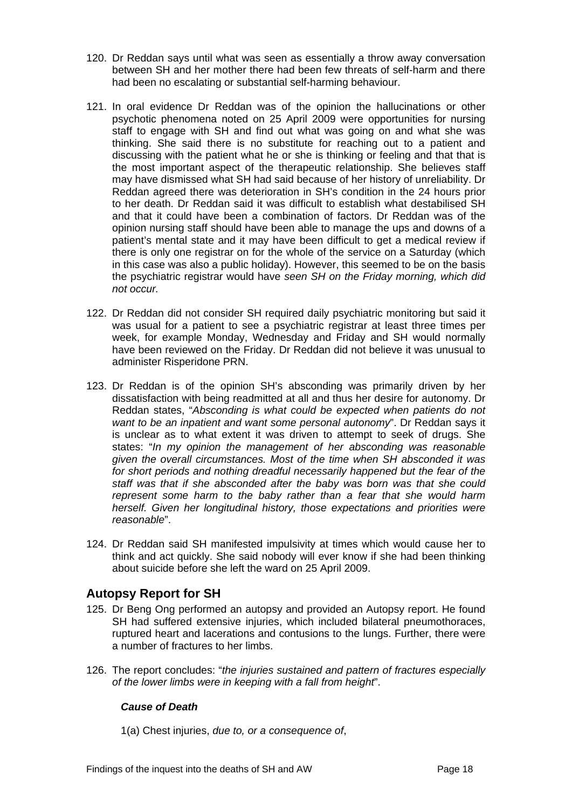- 120. Dr Reddan says until what was seen as essentially a throw away conversation between SH and her mother there had been few threats of self-harm and there had been no escalating or substantial self-harming behaviour.
- 121. In oral evidence Dr Reddan was of the opinion the hallucinations or other psychotic phenomena noted on 25 April 2009 were opportunities for nursing staff to engage with SH and find out what was going on and what she was thinking. She said there is no substitute for reaching out to a patient and discussing with the patient what he or she is thinking or feeling and that that is the most important aspect of the therapeutic relationship. She believes staff may have dismissed what SH had said because of her history of unreliability. Dr Reddan agreed there was deterioration in SH's condition in the 24 hours prior to her death. Dr Reddan said it was difficult to establish what destabilised SH and that it could have been a combination of factors. Dr Reddan was of the opinion nursing staff should have been able to manage the ups and downs of a patient's mental state and it may have been difficult to get a medical review if there is only one registrar on for the whole of the service on a Saturday (which in this case was also a public holiday). However, this seemed to be on the basis the psychiatric registrar would have *seen SH on the Friday morning, which did not occur.*
- 122. Dr Reddan did not consider SH required daily psychiatric monitoring but said it was usual for a patient to see a psychiatric registrar at least three times per week, for example Monday, Wednesday and Friday and SH would normally have been reviewed on the Friday. Dr Reddan did not believe it was unusual to administer Risperidone PRN.
- 123. Dr Reddan is of the opinion SH's absconding was primarily driven by her dissatisfaction with being readmitted at all and thus her desire for autonomy. Dr Reddan states, "*Absconding is what could be expected when patients do not want to be an inpatient and want some personal autonomy*". Dr Reddan says it is unclear as to what extent it was driven to attempt to seek of drugs. She states: "*In my opinion the management of her absconding was reasonable given the overall circumstances. Most of the time when SH absconded it was for short periods and nothing dreadful necessarily happened but the fear of the staff was that if she absconded after the baby was born was that she could represent some harm to the baby rather than a fear that she would harm herself. Given her longitudinal history, those expectations and priorities were reasonable*".
- 124. Dr Reddan said SH manifested impulsivity at times which would cause her to think and act quickly. She said nobody will ever know if she had been thinking about suicide before she left the ward on 25 April 2009.

# <span id="page-18-0"></span>**Autopsy Report for SH**

- 125. Dr Beng Ong performed an autopsy and provided an Autopsy report. He found SH had suffered extensive injuries, which included bilateral pneumothoraces, ruptured heart and lacerations and contusions to the lungs. Further, there were a number of fractures to her limbs.
- <span id="page-18-1"></span>126. The report concludes: "*the injuries sustained and pattern of fractures especially of the lower limbs were in keeping with a fall from height*".

# *Cause of Death*

1(a) Chest injuries, *due to, or a consequence of*,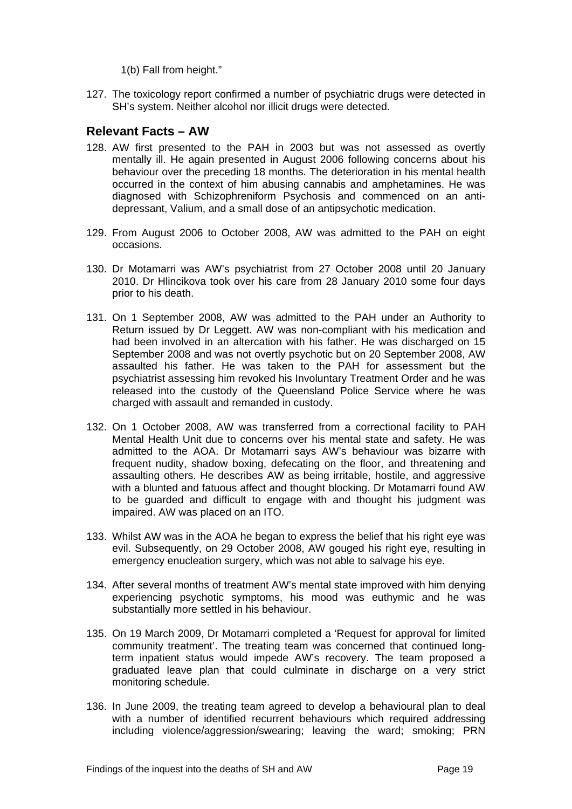1(b) Fall from height."

127. The toxicology report confirmed a number of psychiatric drugs were detected in SH's system. Neither alcohol nor illicit drugs were detected.

# <span id="page-19-0"></span>**Relevant Facts – AW**

- 128. AW first presented to the PAH in 2003 but was not assessed as overtly mentally ill. He again presented in August 2006 following concerns about his behaviour over the preceding 18 months. The deterioration in his mental health occurred in the context of him abusing cannabis and amphetamines. He was diagnosed with Schizophreniform Psychosis and commenced on an antidepressant, Valium, and a small dose of an antipsychotic medication.
- 129. From August 2006 to October 2008, AW was admitted to the PAH on eight occasions.
- 130. Dr Motamarri was AW's psychiatrist from 27 October 2008 until 20 January 2010. Dr Hlincikova took over his care from 28 January 2010 some four days prior to his death.
- 131. On 1 September 2008, AW was admitted to the PAH under an Authority to Return issued by Dr Leggett. AW was non-compliant with his medication and had been involved in an altercation with his father. He was discharged on 15 September 2008 and was not overtly psychotic but on 20 September 2008, AW assaulted his father. He was taken to the PAH for assessment but the psychiatrist assessing him revoked his Involuntary Treatment Order and he was released into the custody of the Queensland Police Service where he was charged with assault and remanded in custody.
- 132. On 1 October 2008, AW was transferred from a correctional facility to PAH Mental Health Unit due to concerns over his mental state and safety. He was admitted to the AOA. Dr Motamarri says AW's behaviour was bizarre with frequent nudity, shadow boxing, defecating on the floor, and threatening and assaulting others. He describes AW as being irritable, hostile, and aggressive with a blunted and fatuous affect and thought blocking. Dr Motamarri found AW to be guarded and difficult to engage with and thought his judgment was impaired. AW was placed on an ITO.
- 133. Whilst AW was in the AOA he began to express the belief that his right eye was evil. Subsequently, on 29 October 2008, AW gouged his right eye, resulting in emergency enucleation surgery, which was not able to salvage his eye.
- 134. After several months of treatment AW's mental state improved with him denying experiencing psychotic symptoms, his mood was euthymic and he was substantially more settled in his behaviour.
- 135. On 19 March 2009, Dr Motamarri completed a 'Request for approval for limited community treatment'. The treating team was concerned that continued longterm inpatient status would impede AW's recovery. The team proposed a graduated leave plan that could culminate in discharge on a very strict monitoring schedule.
- 136. In June 2009, the treating team agreed to develop a behavioural plan to deal with a number of identified recurrent behaviours which required addressing including violence/aggression/swearing; leaving the ward; smoking; PRN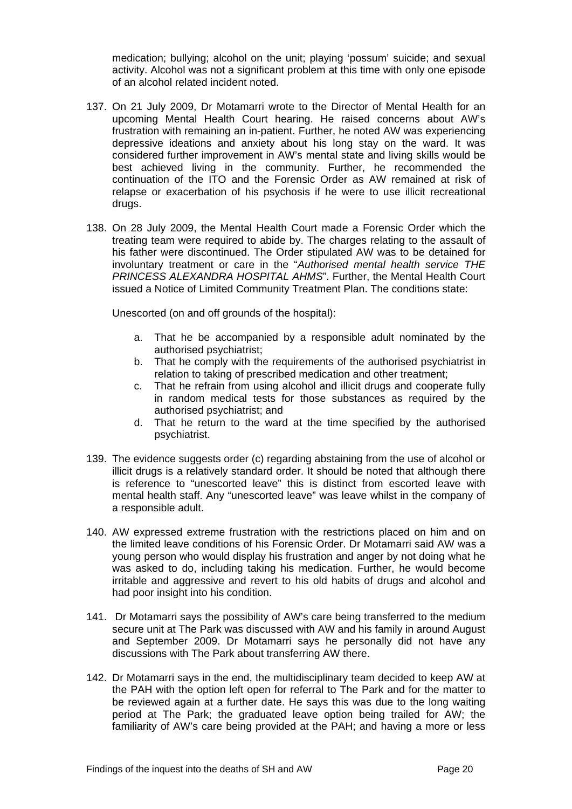medication; bullying; alcohol on the unit; playing 'possum' suicide; and sexual activity. Alcohol was not a significant problem at this time with only one episode of an alcohol related incident noted.

- 137. On 21 July 2009, Dr Motamarri wrote to the Director of Mental Health for an upcoming Mental Health Court hearing. He raised concerns about AW's frustration with remaining an in-patient. Further, he noted AW was experiencing depressive ideations and anxiety about his long stay on the ward. It was considered further improvement in AW's mental state and living skills would be best achieved living in the community. Further, he recommended the continuation of the ITO and the Forensic Order as AW remained at risk of relapse or exacerbation of his psychosis if he were to use illicit recreational drugs.
- 138. On 28 July 2009, the Mental Health Court made a Forensic Order which the treating team were required to abide by. The charges relating to the assault of his father were discontinued. The Order stipulated AW was to be detained for involuntary treatment or care in the "*Authorised mental health service THE PRINCESS ALEXANDRA HOSPITAL AHMS*". Further, the Mental Health Court issued a Notice of Limited Community Treatment Plan. The conditions state:

Unescorted (on and off grounds of the hospital):

- a. That he be accompanied by a responsible adult nominated by the authorised psychiatrist;
- b. That he comply with the requirements of the authorised psychiatrist in relation to taking of prescribed medication and other treatment;
- c. That he refrain from using alcohol and illicit drugs and cooperate fully in random medical tests for those substances as required by the authorised psychiatrist; and
- d. That he return to the ward at the time specified by the authorised psychiatrist.
- 139. The evidence suggests order (c) regarding abstaining from the use of alcohol or illicit drugs is a relatively standard order. It should be noted that although there is reference to "unescorted leave" this is distinct from escorted leave with mental health staff. Any "unescorted leave" was leave whilst in the company of a responsible adult.
- 140. AW expressed extreme frustration with the restrictions placed on him and on the limited leave conditions of his Forensic Order. Dr Motamarri said AW was a young person who would display his frustration and anger by not doing what he was asked to do, including taking his medication. Further, he would become irritable and aggressive and revert to his old habits of drugs and alcohol and had poor insight into his condition.
- 141. Dr Motamarri says the possibility of AW's care being transferred to the medium secure unit at The Park was discussed with AW and his family in around August and September 2009. Dr Motamarri says he personally did not have any discussions with The Park about transferring AW there.
- 142. Dr Motamarri says in the end, the multidisciplinary team decided to keep AW at the PAH with the option left open for referral to The Park and for the matter to be reviewed again at a further date. He says this was due to the long waiting period at The Park; the graduated leave option being trailed for AW; the familiarity of AW's care being provided at the PAH; and having a more or less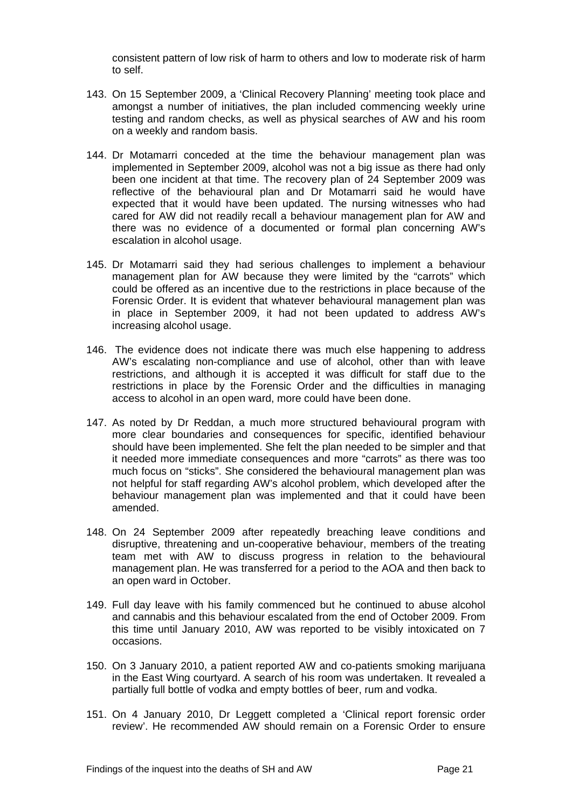consistent pattern of low risk of harm to others and low to moderate risk of harm to self.

- 143. On 15 September 2009, a 'Clinical Recovery Planning' meeting took place and amongst a number of initiatives, the plan included commencing weekly urine testing and random checks, as well as physical searches of AW and his room on a weekly and random basis.
- 144. Dr Motamarri conceded at the time the behaviour management plan was implemented in September 2009, alcohol was not a big issue as there had only been one incident at that time. The recovery plan of 24 September 2009 was reflective of the behavioural plan and Dr Motamarri said he would have expected that it would have been updated. The nursing witnesses who had cared for AW did not readily recall a behaviour management plan for AW and there was no evidence of a documented or formal plan concerning AW's escalation in alcohol usage.
- 145. Dr Motamarri said they had serious challenges to implement a behaviour management plan for AW because they were limited by the "carrots" which could be offered as an incentive due to the restrictions in place because of the Forensic Order. It is evident that whatever behavioural management plan was in place in September 2009, it had not been updated to address AW's increasing alcohol usage.
- 146. The evidence does not indicate there was much else happening to address AW's escalating non-compliance and use of alcohol, other than with leave restrictions, and although it is accepted it was difficult for staff due to the restrictions in place by the Forensic Order and the difficulties in managing access to alcohol in an open ward, more could have been done.
- 147. As noted by Dr Reddan, a much more structured behavioural program with more clear boundaries and consequences for specific, identified behaviour should have been implemented. She felt the plan needed to be simpler and that it needed more immediate consequences and more "carrots" as there was too much focus on "sticks". She considered the behavioural management plan was not helpful for staff regarding AW's alcohol problem, which developed after the behaviour management plan was implemented and that it could have been amended.
- 148. On 24 September 2009 after repeatedly breaching leave conditions and disruptive, threatening and un-cooperative behaviour, members of the treating team met with AW to discuss progress in relation to the behavioural management plan. He was transferred for a period to the AOA and then back to an open ward in October.
- 149. Full day leave with his family commenced but he continued to abuse alcohol and cannabis and this behaviour escalated from the end of October 2009. From this time until January 2010, AW was reported to be visibly intoxicated on 7 occasions.
- 150. On 3 January 2010, a patient reported AW and co-patients smoking marijuana in the East Wing courtyard. A search of his room was undertaken. It revealed a partially full bottle of vodka and empty bottles of beer, rum and vodka.
- 151. On 4 January 2010, Dr Leggett completed a 'Clinical report forensic order review'. He recommended AW should remain on a Forensic Order to ensure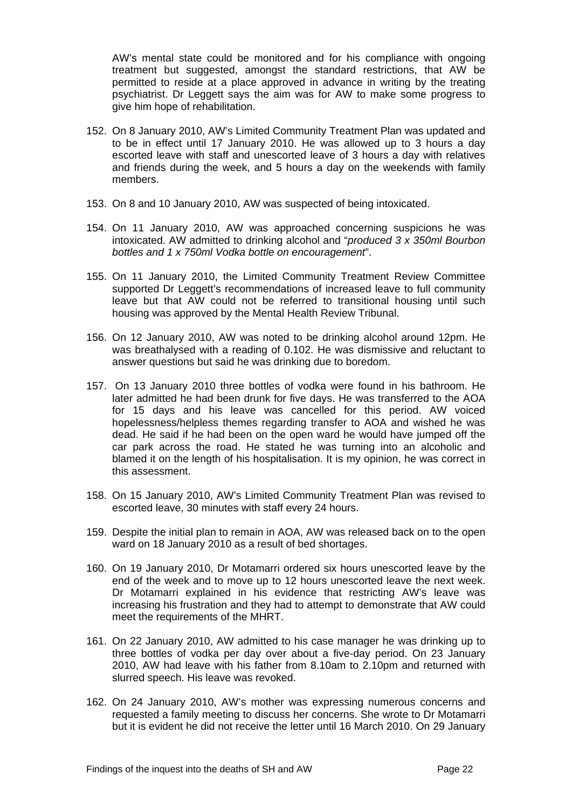AW's mental state could be monitored and for his compliance with ongoing treatment but suggested, amongst the standard restrictions, that AW be permitted to reside at a place approved in advance in writing by the treating psychiatrist. Dr Leggett says the aim was for AW to make some progress to give him hope of rehabilitation.

- 152. On 8 January 2010, AW's Limited Community Treatment Plan was updated and to be in effect until 17 January 2010. He was allowed up to 3 hours a day escorted leave with staff and unescorted leave of 3 hours a day with relatives and friends during the week, and 5 hours a day on the weekends with family members.
- 153. On 8 and 10 January 2010, AW was suspected of being intoxicated.
- 154. On 11 January 2010, AW was approached concerning suspicions he was intoxicated. AW admitted to drinking alcohol and "*produced 3 x 350ml Bourbon bottles and 1 x 750ml Vodka bottle on encouragement*".
- 155. On 11 January 2010, the Limited Community Treatment Review Committee supported Dr Leggett's recommendations of increased leave to full community leave but that AW could not be referred to transitional housing until such housing was approved by the Mental Health Review Tribunal.
- 156. On 12 January 2010, AW was noted to be drinking alcohol around 12pm. He was breathalysed with a reading of 0.102. He was dismissive and reluctant to answer questions but said he was drinking due to boredom.
- 157. On 13 January 2010 three bottles of vodka were found in his bathroom. He later admitted he had been drunk for five days. He was transferred to the AOA for 15 days and his leave was cancelled for this period. AW voiced hopelessness/helpless themes regarding transfer to AOA and wished he was dead. He said if he had been on the open ward he would have jumped off the car park across the road. He stated he was turning into an alcoholic and blamed it on the length of his hospitalisation. It is my opinion, he was correct in this assessment.
- 158. On 15 January 2010, AW's Limited Community Treatment Plan was revised to escorted leave, 30 minutes with staff every 24 hours.
- 159. Despite the initial plan to remain in AOA, AW was released back on to the open ward on 18 January 2010 as a result of bed shortages.
- 160. On 19 January 2010, Dr Motamarri ordered six hours unescorted leave by the end of the week and to move up to 12 hours unescorted leave the next week. Dr Motamarri explained in his evidence that restricting AW's leave was increasing his frustration and they had to attempt to demonstrate that AW could meet the requirements of the MHRT.
- 161. On 22 January 2010, AW admitted to his case manager he was drinking up to three bottles of vodka per day over about a five-day period. On 23 January 2010, AW had leave with his father from 8.10am to 2.10pm and returned with slurred speech. His leave was revoked.
- 162. On 24 January 2010, AW's mother was expressing numerous concerns and requested a family meeting to discuss her concerns. She wrote to Dr Motamarri but it is evident he did not receive the letter until 16 March 2010. On 29 January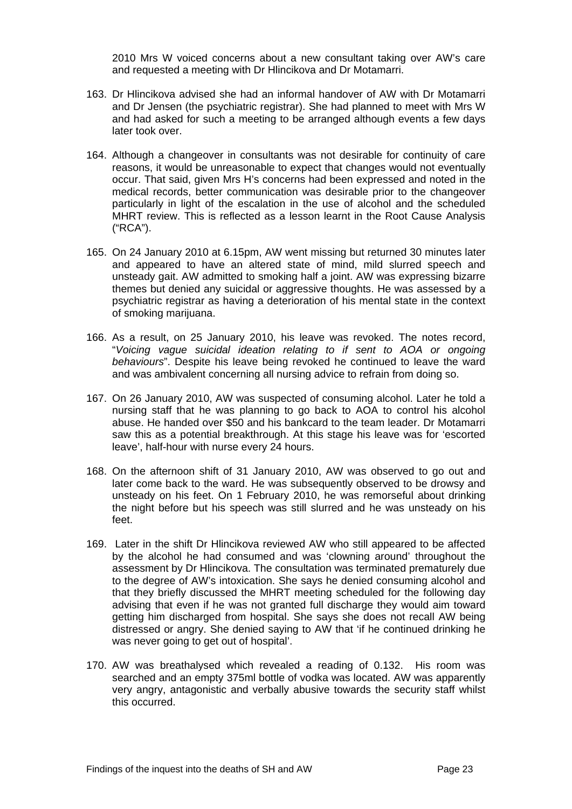2010 Mrs W voiced concerns about a new consultant taking over AW's care and requested a meeting with Dr Hlincikova and Dr Motamarri.

- 163. Dr Hlincikova advised she had an informal handover of AW with Dr Motamarri and Dr Jensen (the psychiatric registrar). She had planned to meet with Mrs W and had asked for such a meeting to be arranged although events a few days later took over.
- 164. Although a changeover in consultants was not desirable for continuity of care reasons, it would be unreasonable to expect that changes would not eventually occur. That said, given Mrs H's concerns had been expressed and noted in the medical records, better communication was desirable prior to the changeover particularly in light of the escalation in the use of alcohol and the scheduled MHRT review. This is reflected as a lesson learnt in the Root Cause Analysis ("RCA").
- 165. On 24 January 2010 at 6.15pm, AW went missing but returned 30 minutes later and appeared to have an altered state of mind, mild slurred speech and unsteady gait. AW admitted to smoking half a joint. AW was expressing bizarre themes but denied any suicidal or aggressive thoughts. He was assessed by a psychiatric registrar as having a deterioration of his mental state in the context of smoking marijuana.
- 166. As a result, on 25 January 2010, his leave was revoked. The notes record, "*Voicing vague suicidal ideation relating to if sent to AOA or ongoing behaviours*". Despite his leave being revoked he continued to leave the ward and was ambivalent concerning all nursing advice to refrain from doing so.
- 167. On 26 January 2010, AW was suspected of consuming alcohol. Later he told a nursing staff that he was planning to go back to AOA to control his alcohol abuse. He handed over \$50 and his bankcard to the team leader. Dr Motamarri saw this as a potential breakthrough. At this stage his leave was for 'escorted leave', half-hour with nurse every 24 hours.
- 168. On the afternoon shift of 31 January 2010, AW was observed to go out and later come back to the ward. He was subsequently observed to be drowsy and unsteady on his feet. On 1 February 2010, he was remorseful about drinking the night before but his speech was still slurred and he was unsteady on his feet.
- 169. Later in the shift Dr Hlincikova reviewed AW who still appeared to be affected by the alcohol he had consumed and was 'clowning around' throughout the assessment by Dr Hlincikova. The consultation was terminated prematurely due to the degree of AW's intoxication. She says he denied consuming alcohol and that they briefly discussed the MHRT meeting scheduled for the following day advising that even if he was not granted full discharge they would aim toward getting him discharged from hospital. She says she does not recall AW being distressed or angry. She denied saying to AW that 'if he continued drinking he was never going to get out of hospital'.
- 170. AW was breathalysed which revealed a reading of 0.132. His room was searched and an empty 375ml bottle of vodka was located. AW was apparently very angry, antagonistic and verbally abusive towards the security staff whilst this occurred.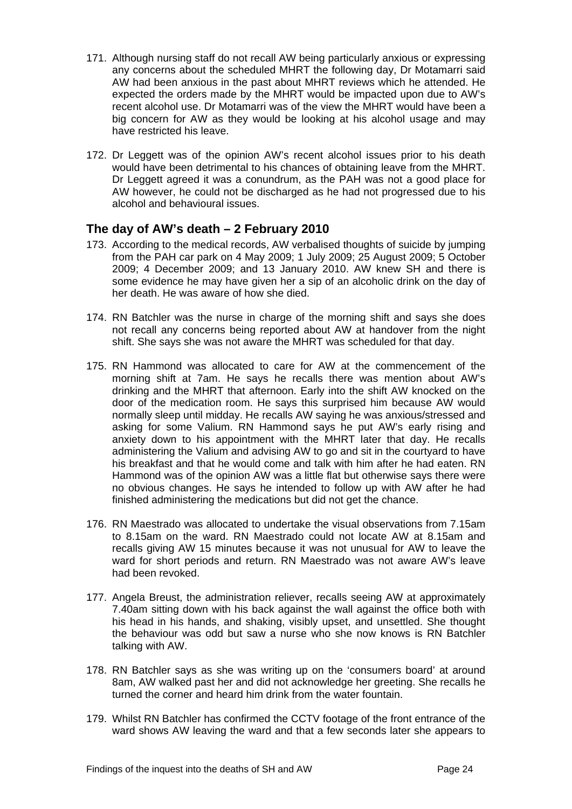- 171. Although nursing staff do not recall AW being particularly anxious or expressing any concerns about the scheduled MHRT the following day, Dr Motamarri said AW had been anxious in the past about MHRT reviews which he attended. He expected the orders made by the MHRT would be impacted upon due to AW's recent alcohol use. Dr Motamarri was of the view the MHRT would have been a big concern for AW as they would be looking at his alcohol usage and may have restricted his leave.
- 172. Dr Leggett was of the opinion AW's recent alcohol issues prior to his death would have been detrimental to his chances of obtaining leave from the MHRT. Dr Leggett agreed it was a conundrum, as the PAH was not a good place for AW however, he could not be discharged as he had not progressed due to his alcohol and behavioural issues.

# <span id="page-24-0"></span>**The day of AW's death – 2 February 2010**

- 173. According to the medical records, AW verbalised thoughts of suicide by jumping from the PAH car park on 4 May 2009; 1 July 2009; 25 August 2009; 5 October 2009; 4 December 2009; and 13 January 2010. AW knew SH and there is some evidence he may have given her a sip of an alcoholic drink on the day of her death. He was aware of how she died.
- 174. RN Batchler was the nurse in charge of the morning shift and says she does not recall any concerns being reported about AW at handover from the night shift. She says she was not aware the MHRT was scheduled for that day.
- 175. RN Hammond was allocated to care for AW at the commencement of the morning shift at 7am. He says he recalls there was mention about AW's drinking and the MHRT that afternoon. Early into the shift AW knocked on the door of the medication room. He says this surprised him because AW would normally sleep until midday. He recalls AW saying he was anxious/stressed and asking for some Valium. RN Hammond says he put AW's early rising and anxiety down to his appointment with the MHRT later that day. He recalls administering the Valium and advising AW to go and sit in the courtyard to have his breakfast and that he would come and talk with him after he had eaten. RN Hammond was of the opinion AW was a little flat but otherwise says there were no obvious changes. He says he intended to follow up with AW after he had finished administering the medications but did not get the chance.
- 176. RN Maestrado was allocated to undertake the visual observations from 7.15am to 8.15am on the ward. RN Maestrado could not locate AW at 8.15am and recalls giving AW 15 minutes because it was not unusual for AW to leave the ward for short periods and return. RN Maestrado was not aware AW's leave had been revoked.
- 177. Angela Breust, the administration reliever, recalls seeing AW at approximately 7.40am sitting down with his back against the wall against the office both with his head in his hands, and shaking, visibly upset, and unsettled. She thought the behaviour was odd but saw a nurse who she now knows is RN Batchler talking with AW.
- 178. RN Batchler says as she was writing up on the 'consumers board' at around 8am, AW walked past her and did not acknowledge her greeting. She recalls he turned the corner and heard him drink from the water fountain.
- 179. Whilst RN Batchler has confirmed the CCTV footage of the front entrance of the ward shows AW leaving the ward and that a few seconds later she appears to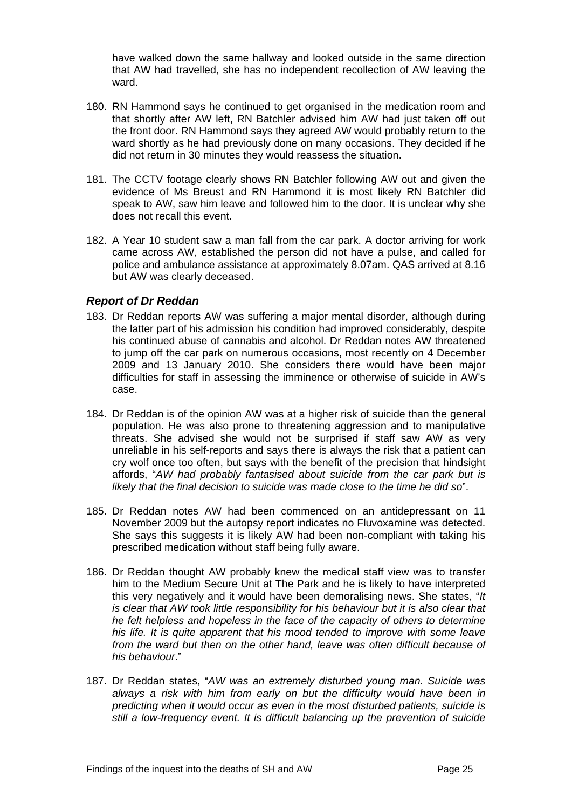have walked down the same hallway and looked outside in the same direction that AW had travelled, she has no independent recollection of AW leaving the ward.

- 180. RN Hammond says he continued to get organised in the medication room and that shortly after AW left, RN Batchler advised him AW had just taken off out the front door. RN Hammond says they agreed AW would probably return to the ward shortly as he had previously done on many occasions. They decided if he did not return in 30 minutes they would reassess the situation.
- 181. The CCTV footage clearly shows RN Batchler following AW out and given the evidence of Ms Breust and RN Hammond it is most likely RN Batchler did speak to AW, saw him leave and followed him to the door. It is unclear why she does not recall this event.
- 182. A Year 10 student saw a man fall from the car park. A doctor arriving for work came across AW, established the person did not have a pulse, and called for police and ambulance assistance at approximately 8.07am. QAS arrived at 8.16 but AW was clearly deceased.

### <span id="page-25-0"></span>*Report of Dr Reddan*

- 183. Dr Reddan reports AW was suffering a major mental disorder, although during the latter part of his admission his condition had improved considerably, despite his continued abuse of cannabis and alcohol. Dr Reddan notes AW threatened to jump off the car park on numerous occasions, most recently on 4 December 2009 and 13 January 2010. She considers there would have been major difficulties for staff in assessing the imminence or otherwise of suicide in AW's case.
- 184. Dr Reddan is of the opinion AW was at a higher risk of suicide than the general population. He was also prone to threatening aggression and to manipulative threats. She advised she would not be surprised if staff saw AW as very unreliable in his self-reports and says there is always the risk that a patient can cry wolf once too often, but says with the benefit of the precision that hindsight affords, "*AW had probably fantasised about suicide from the car park but is likely that the final decision to suicide was made close to the time he did so*".
- 185. Dr Reddan notes AW had been commenced on an antidepressant on 11 November 2009 but the autopsy report indicates no Fluvoxamine was detected. She says this suggests it is likely AW had been non-compliant with taking his prescribed medication without staff being fully aware.
- 186. Dr Reddan thought AW probably knew the medical staff view was to transfer him to the Medium Secure Unit at The Park and he is likely to have interpreted this very negatively and it would have been demoralising news. She states, "*It is clear that AW took little responsibility for his behaviour but it is also clear that he felt helpless and hopeless in the face of the capacity of others to determine his life. It is quite apparent that his mood tended to improve with some leave*  from the ward but then on the other hand, leave was often difficult because of *his behaviour*."
- 187. Dr Reddan states, "*AW was an extremely disturbed young man. Suicide was always a risk with him from early on but the difficulty would have been in predicting when it would occur as even in the most disturbed patients, suicide is still a low-frequency event. It is difficult balancing up the prevention of suicide*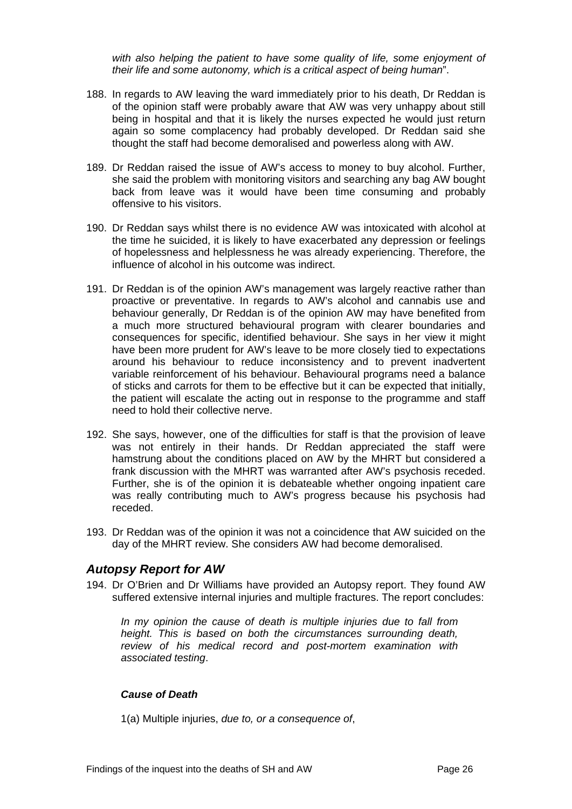*with also helping the patient to have some quality of life, some enjoyment of their life and some autonomy, which is a critical aspect of being human*".

- 188. In regards to AW leaving the ward immediately prior to his death, Dr Reddan is of the opinion staff were probably aware that AW was very unhappy about still being in hospital and that it is likely the nurses expected he would just return again so some complacency had probably developed. Dr Reddan said she thought the staff had become demoralised and powerless along with AW.
- 189. Dr Reddan raised the issue of AW's access to money to buy alcohol. Further, she said the problem with monitoring visitors and searching any bag AW bought back from leave was it would have been time consuming and probably offensive to his visitors.
- 190. Dr Reddan says whilst there is no evidence AW was intoxicated with alcohol at the time he suicided, it is likely to have exacerbated any depression or feelings of hopelessness and helplessness he was already experiencing. Therefore, the influence of alcohol in his outcome was indirect.
- 191. Dr Reddan is of the opinion AW's management was largely reactive rather than proactive or preventative. In regards to AW's alcohol and cannabis use and behaviour generally, Dr Reddan is of the opinion AW may have benefited from a much more structured behavioural program with clearer boundaries and consequences for specific, identified behaviour. She says in her view it might have been more prudent for AW's leave to be more closely tied to expectations around his behaviour to reduce inconsistency and to prevent inadvertent variable reinforcement of his behaviour. Behavioural programs need a balance of sticks and carrots for them to be effective but it can be expected that initially, the patient will escalate the acting out in response to the programme and staff need to hold their collective nerve.
- 192. She says, however, one of the difficulties for staff is that the provision of leave was not entirely in their hands. Dr Reddan appreciated the staff were hamstrung about the conditions placed on AW by the MHRT but considered a frank discussion with the MHRT was warranted after AW's psychosis receded. Further, she is of the opinion it is debateable whether ongoing inpatient care was really contributing much to AW's progress because his psychosis had receded.
- 193. Dr Reddan was of the opinion it was not a coincidence that AW suicided on the day of the MHRT review. She considers AW had become demoralised.

# <span id="page-26-0"></span>*Autopsy Report for AW*

194. Dr O'Brien and Dr Williams have provided an Autopsy report. They found AW suffered extensive internal injuries and multiple fractures. The report concludes:

*In my opinion the cause of death is multiple injuries due to fall from height. This is based on both the circumstances surrounding death, review of his medical record and post-mortem examination with associated testing*.

### <span id="page-26-1"></span>*Cause of Death*

1(a) Multiple injuries, *due to, or a consequence of*,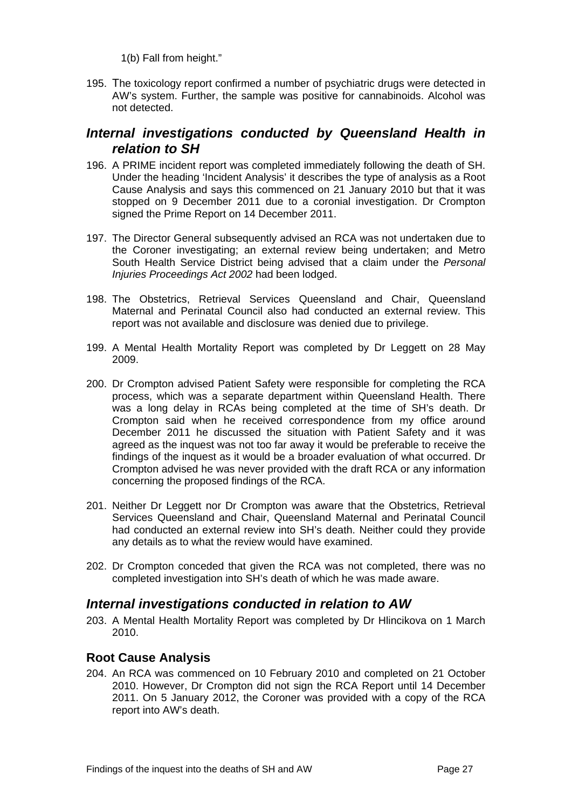1(b) Fall from height."

195. The toxicology report confirmed a number of psychiatric drugs were detected in AW's system. Further, the sample was positive for cannabinoids. Alcohol was not detected.

# <span id="page-27-0"></span>*Internal investigations conducted by Queensland Health in relation to SH*

- 196. A PRIME incident report was completed immediately following the death of SH. Under the heading 'Incident Analysis' it describes the type of analysis as a Root Cause Analysis and says this commenced on 21 January 2010 but that it was stopped on 9 December 2011 due to a coronial investigation. Dr Crompton signed the Prime Report on 14 December 2011.
- 197. The Director General subsequently advised an RCA was not undertaken due to the Coroner investigating; an external review being undertaken; and Metro South Health Service District being advised that a claim under the *Personal Injuries Proceedings Act 2002* had been lodged.
- 198. The Obstetrics, Retrieval Services Queensland and Chair, Queensland Maternal and Perinatal Council also had conducted an external review. This report was not available and disclosure was denied due to privilege.
- 199. A Mental Health Mortality Report was completed by Dr Leggett on 28 May 2009.
- 200. Dr Crompton advised Patient Safety were responsible for completing the RCA process, which was a separate department within Queensland Health. There was a long delay in RCAs being completed at the time of SH's death. Dr Crompton said when he received correspondence from my office around December 2011 he discussed the situation with Patient Safety and it was agreed as the inquest was not too far away it would be preferable to receive the findings of the inquest as it would be a broader evaluation of what occurred. Dr Crompton advised he was never provided with the draft RCA or any information concerning the proposed findings of the RCA.
- 201. Neither Dr Leggett nor Dr Crompton was aware that the Obstetrics, Retrieval Services Queensland and Chair, Queensland Maternal and Perinatal Council had conducted an external review into SH's death. Neither could they provide any details as to what the review would have examined.
- 202. Dr Crompton conceded that given the RCA was not completed, there was no completed investigation into SH's death of which he was made aware.

# <span id="page-27-1"></span>*Internal investigations conducted in relation to AW*

203. A Mental Health Mortality Report was completed by Dr Hlincikova on 1 March 2010.

# <span id="page-27-2"></span>**Root Cause Analysis**

204. An RCA was commenced on 10 February 2010 and completed on 21 October 2010. However, Dr Crompton did not sign the RCA Report until 14 December 2011. On 5 January 2012, the Coroner was provided with a copy of the RCA report into AW's death.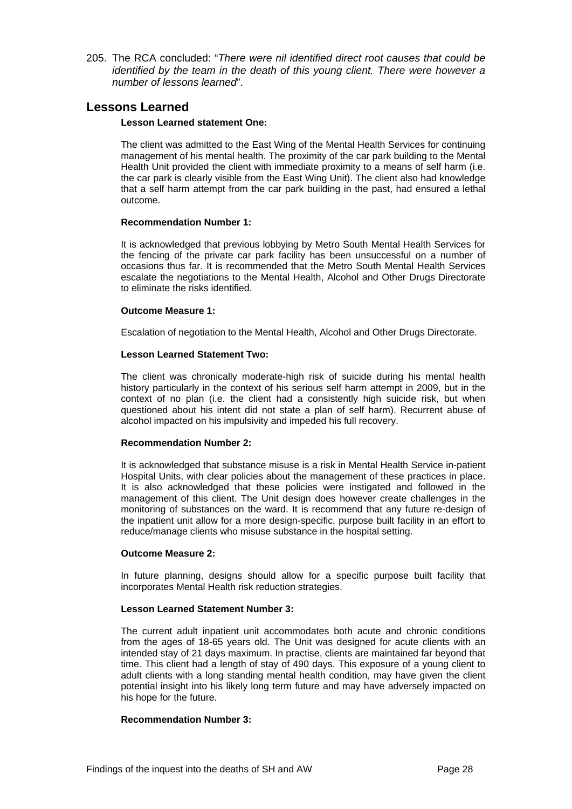205. The RCA concluded: "*There were nil identified direct root causes that could be identified by the team in the death of this young client. There were however a number of lessons learned*".

# <span id="page-28-0"></span>**Lessons Learned**

#### **Lesson Learned statement One:**

The client was admitted to the East Wing of the Mental Health Services for continuing management of his mental health. The proximity of the car park building to the Mental Health Unit provided the client with immediate proximity to a means of self harm (i.e. the car park is clearly visible from the East Wing Unit). The client also had knowledge that a self harm attempt from the car park building in the past, had ensured a lethal outcome.

#### **Recommendation Number 1:**

It is acknowledged that previous lobbying by Metro South Mental Health Services for the fencing of the private car park facility has been unsuccessful on a number of occasions thus far. It is recommended that the Metro South Mental Health Services escalate the negotiations to the Mental Health, Alcohol and Other Drugs Directorate to eliminate the risks identified.

#### **Outcome Measure 1:**

Escalation of negotiation to the Mental Health, Alcohol and Other Drugs Directorate.

#### **Lesson Learned Statement Two:**

The client was chronically moderate-high risk of suicide during his mental health history particularly in the context of his serious self harm attempt in 2009, but in the context of no plan (i.e. the client had a consistently high suicide risk, but when questioned about his intent did not state a plan of self harm). Recurrent abuse of alcohol impacted on his impulsivity and impeded his full recovery.

#### **Recommendation Number 2:**

It is acknowledged that substance misuse is a risk in Mental Health Service in-patient Hospital Units, with clear policies about the management of these practices in place. It is also acknowledged that these policies were instigated and followed in the management of this client. The Unit design does however create challenges in the monitoring of substances on the ward. It is recommend that any future re-design of the inpatient unit allow for a more design-specific, purpose built facility in an effort to reduce/manage clients who misuse substance in the hospital setting.

#### **Outcome Measure 2:**

In future planning, designs should allow for a specific purpose built facility that incorporates Mental Health risk reduction strategies.

#### **Lesson Learned Statement Number 3:**

The current adult inpatient unit accommodates both acute and chronic conditions from the ages of 18-65 years old. The Unit was designed for acute clients with an intended stay of 21 days maximum. In practise, clients are maintained far beyond that time. This client had a length of stay of 490 days. This exposure of a young client to adult clients with a long standing mental health condition, may have given the client potential insight into his likely long term future and may have adversely impacted on his hope for the future.

#### **Recommendation Number 3:**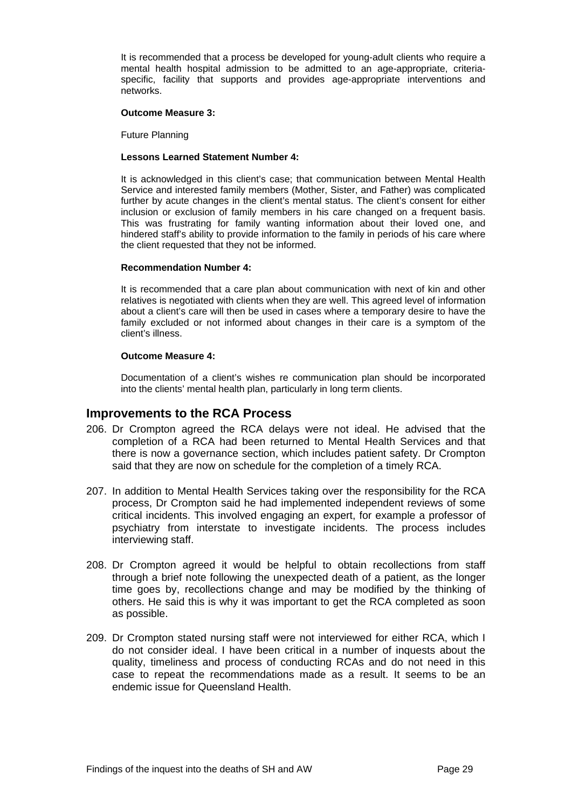It is recommended that a process be developed for young-adult clients who require a mental health hospital admission to be admitted to an age-appropriate, criteriaspecific, facility that supports and provides age-appropriate interventions and networks.

#### **Outcome Measure 3:**

Future Planning

#### **Lessons Learned Statement Number 4:**

It is acknowledged in this client's case; that communication between Mental Health Service and interested family members (Mother, Sister, and Father) was complicated further by acute changes in the client's mental status. The client's consent for either inclusion or exclusion of family members in his care changed on a frequent basis. This was frustrating for family wanting information about their loved one, and hindered staff's ability to provide information to the family in periods of his care where the client requested that they not be informed.

#### **Recommendation Number 4:**

It is recommended that a care plan about communication with next of kin and other relatives is negotiated with clients when they are well. This agreed level of information about a client's care will then be used in cases where a temporary desire to have the family excluded or not informed about changes in their care is a symptom of the client's illness.

#### **Outcome Measure 4:**

Documentation of a client's wishes re communication plan should be incorporated into the clients' mental health plan, particularly in long term clients.

### <span id="page-29-0"></span>**Improvements to the RCA Process**

- 206. Dr Crompton agreed the RCA delays were not ideal. He advised that the completion of a RCA had been returned to Mental Health Services and that there is now a governance section, which includes patient safety. Dr Crompton said that they are now on schedule for the completion of a timely RCA.
- 207. In addition to Mental Health Services taking over the responsibility for the RCA process, Dr Crompton said he had implemented independent reviews of some critical incidents. This involved engaging an expert, for example a professor of psychiatry from interstate to investigate incidents. The process includes interviewing staff.
- 208. Dr Crompton agreed it would be helpful to obtain recollections from staff through a brief note following the unexpected death of a patient, as the longer time goes by, recollections change and may be modified by the thinking of others. He said this is why it was important to get the RCA completed as soon as possible.
- 209. Dr Crompton stated nursing staff were not interviewed for either RCA, which I do not consider ideal. I have been critical in a number of inquests about the quality, timeliness and process of conducting RCAs and do not need in this case to repeat the recommendations made as a result. It seems to be an endemic issue for Queensland Health.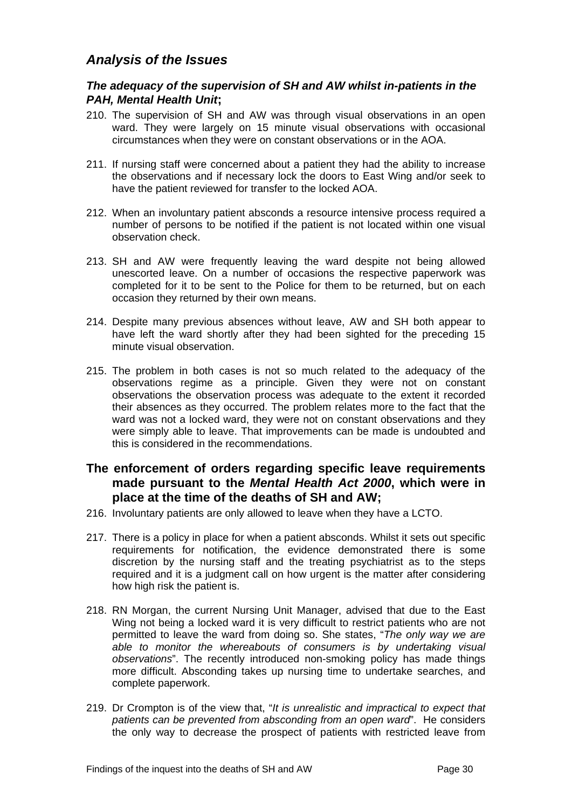# <span id="page-30-0"></span>*Analysis of the Issues*

# <span id="page-30-1"></span>*The adequacy of the supervision of SH and AW whilst in-patients in the PAH, Mental Health Unit***;**

- 210. The supervision of SH and AW was through visual observations in an open ward. They were largely on 15 minute visual observations with occasional circumstances when they were on constant observations or in the AOA.
- 211. If nursing staff were concerned about a patient they had the ability to increase the observations and if necessary lock the doors to East Wing and/or seek to have the patient reviewed for transfer to the locked AOA.
- 212. When an involuntary patient absconds a resource intensive process required a number of persons to be notified if the patient is not located within one visual observation check.
- 213. SH and AW were frequently leaving the ward despite not being allowed unescorted leave. On a number of occasions the respective paperwork was completed for it to be sent to the Police for them to be returned, but on each occasion they returned by their own means.
- 214. Despite many previous absences without leave, AW and SH both appear to have left the ward shortly after they had been sighted for the preceding 15 minute visual observation.
- 215. The problem in both cases is not so much related to the adequacy of the observations regime as a principle. Given they were not on constant observations the observation process was adequate to the extent it recorded their absences as they occurred. The problem relates more to the fact that the ward was not a locked ward, they were not on constant observations and they were simply able to leave. That improvements can be made is undoubted and this is considered in the recommendations.

# <span id="page-30-2"></span>**The enforcement of orders regarding specific leave requirements made pursuant to the** *Mental Health Act 2000***, which were in place at the time of the deaths of SH and AW;**

- 216. Involuntary patients are only allowed to leave when they have a LCTO.
- 217. There is a policy in place for when a patient absconds. Whilst it sets out specific requirements for notification, the evidence demonstrated there is some discretion by the nursing staff and the treating psychiatrist as to the steps required and it is a judgment call on how urgent is the matter after considering how high risk the patient is.
- 218. RN Morgan, the current Nursing Unit Manager, advised that due to the East Wing not being a locked ward it is very difficult to restrict patients who are not permitted to leave the ward from doing so. She states, "*The only way we are able to monitor the whereabouts of consumers is by undertaking visual observations*". The recently introduced non-smoking policy has made things more difficult. Absconding takes up nursing time to undertake searches, and complete paperwork.
- 219. Dr Crompton is of the view that, "*It is unrealistic and impractical to expect that patients can be prevented from absconding from an open ward*". He considers the only way to decrease the prospect of patients with restricted leave from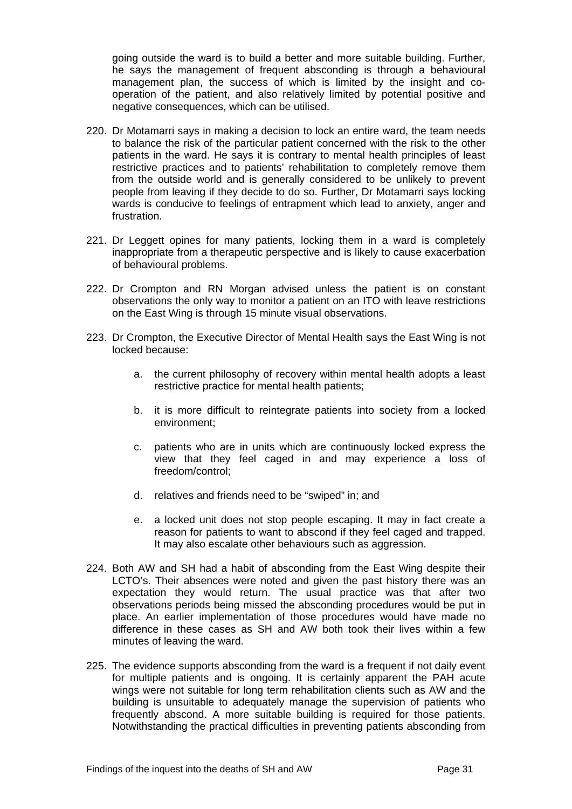going outside the ward is to build a better and more suitable building. Further, he says the management of frequent absconding is through a behavioural management plan, the success of which is limited by the insight and cooperation of the patient, and also relatively limited by potential positive and negative consequences, which can be utilised.

- 220. Dr Motamarri says in making a decision to lock an entire ward, the team needs to balance the risk of the particular patient concerned with the risk to the other patients in the ward. He says it is contrary to mental health principles of least restrictive practices and to patients' rehabilitation to completely remove them from the outside world and is generally considered to be unlikely to prevent people from leaving if they decide to do so. Further, Dr Motamarri says locking wards is conducive to feelings of entrapment which lead to anxiety, anger and frustration.
- 221. Dr Leggett opines for many patients, locking them in a ward is completely inappropriate from a therapeutic perspective and is likely to cause exacerbation of behavioural problems.
- 222. Dr Crompton and RN Morgan advised unless the patient is on constant observations the only way to monitor a patient on an ITO with leave restrictions on the East Wing is through 15 minute visual observations.
- 223. Dr Crompton, the Executive Director of Mental Health says the East Wing is not locked because:
	- a. the current philosophy of recovery within mental health adopts a least restrictive practice for mental health patients;
	- b. it is more difficult to reintegrate patients into society from a locked environment;
	- c. patients who are in units which are continuously locked express the view that they feel caged in and may experience a loss of freedom/control;
	- d. relatives and friends need to be "swiped" in; and
	- e. a locked unit does not stop people escaping. It may in fact create a reason for patients to want to abscond if they feel caged and trapped. It may also escalate other behaviours such as aggression.
- 224. Both AW and SH had a habit of absconding from the East Wing despite their LCTO's. Their absences were noted and given the past history there was an expectation they would return. The usual practice was that after two observations periods being missed the absconding procedures would be put in place. An earlier implementation of those procedures would have made no difference in these cases as SH and AW both took their lives within a few minutes of leaving the ward.
- 225. The evidence supports absconding from the ward is a frequent if not daily event for multiple patients and is ongoing. It is certainly apparent the PAH acute wings were not suitable for long term rehabilitation clients such as AW and the building is unsuitable to adequately manage the supervision of patients who frequently abscond. A more suitable building is required for those patients. Notwithstanding the practical difficulties in preventing patients absconding from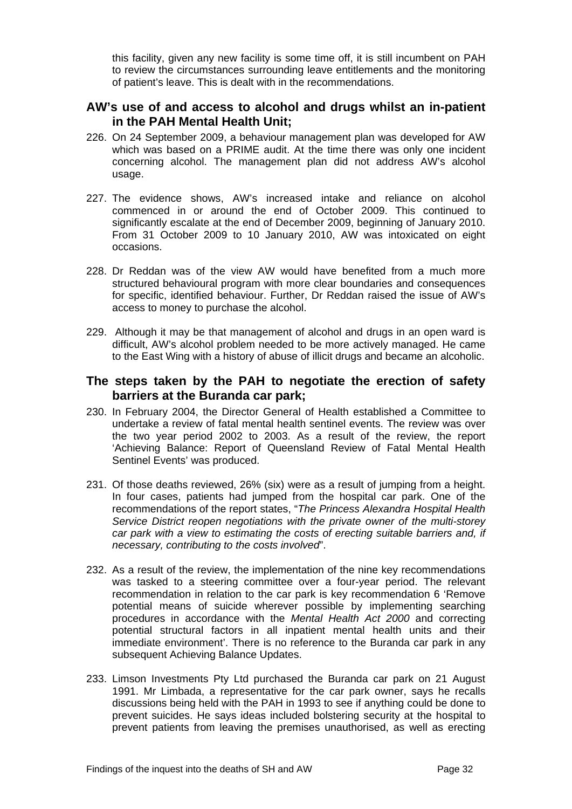this facility, given any new facility is some time off, it is still incumbent on PAH to review the circumstances surrounding leave entitlements and the monitoring of patient's leave. This is dealt with in the recommendations.

# <span id="page-32-0"></span>**AW's use of and access to alcohol and drugs whilst an in-patient in the PAH Mental Health Unit;**

- 226. On 24 September 2009, a behaviour management plan was developed for AW which was based on a PRIME audit. At the time there was only one incident concerning alcohol. The management plan did not address AW's alcohol usage.
- 227. The evidence shows, AW's increased intake and reliance on alcohol commenced in or around the end of October 2009. This continued to significantly escalate at the end of December 2009, beginning of January 2010. From 31 October 2009 to 10 January 2010, AW was intoxicated on eight occasions.
- 228. Dr Reddan was of the view AW would have benefited from a much more structured behavioural program with more clear boundaries and consequences for specific, identified behaviour. Further, Dr Reddan raised the issue of AW's access to money to purchase the alcohol.
- 229. Although it may be that management of alcohol and drugs in an open ward is difficult, AW's alcohol problem needed to be more actively managed. He came to the East Wing with a history of abuse of illicit drugs and became an alcoholic.

# <span id="page-32-1"></span>**The steps taken by the PAH to negotiate the erection of safety barriers at the Buranda car park;**

- 230. In February 2004, the Director General of Health established a Committee to undertake a review of fatal mental health sentinel events. The review was over the two year period 2002 to 2003. As a result of the review, the report 'Achieving Balance: Report of Queensland Review of Fatal Mental Health Sentinel Events' was produced.
- 231. Of those deaths reviewed, 26% (six) were as a result of jumping from a height. In four cases, patients had jumped from the hospital car park. One of the recommendations of the report states, "*The Princess Alexandra Hospital Health Service District reopen negotiations with the private owner of the multi-storey car park with a view to estimating the costs of erecting suitable barriers and, if necessary, contributing to the costs involved*".
- 232. As a result of the review, the implementation of the nine key recommendations was tasked to a steering committee over a four-year period. The relevant recommendation in relation to the car park is key recommendation 6 'Remove potential means of suicide wherever possible by implementing searching procedures in accordance with the *Mental Health Act 2000* and correcting potential structural factors in all inpatient mental health units and their immediate environment'. There is no reference to the Buranda car park in any subsequent Achieving Balance Updates.
- 233. Limson Investments Pty Ltd purchased the Buranda car park on 21 August 1991. Mr Limbada, a representative for the car park owner, says he recalls discussions being held with the PAH in 1993 to see if anything could be done to prevent suicides. He says ideas included bolstering security at the hospital to prevent patients from leaving the premises unauthorised, as well as erecting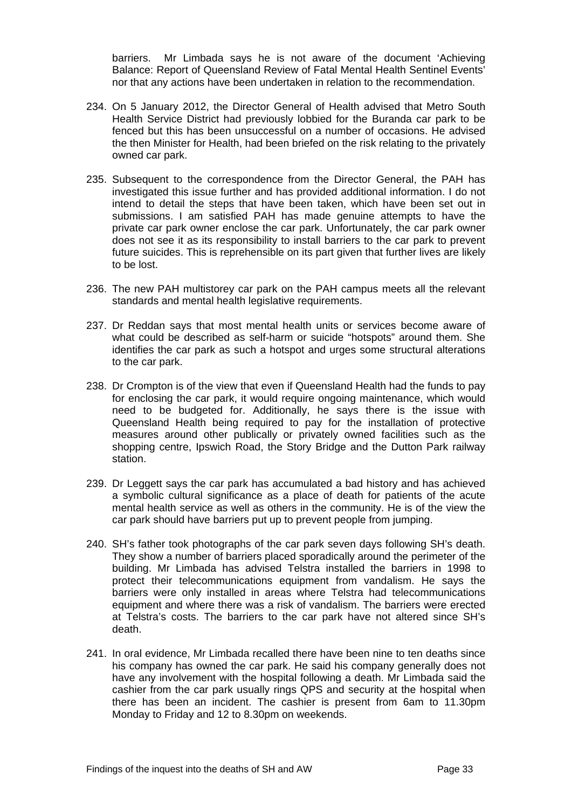barriers. Mr Limbada says he is not aware of the document 'Achieving Balance: Report of Queensland Review of Fatal Mental Health Sentinel Events' nor that any actions have been undertaken in relation to the recommendation.

- 234. On 5 January 2012, the Director General of Health advised that Metro South Health Service District had previously lobbied for the Buranda car park to be fenced but this has been unsuccessful on a number of occasions. He advised the then Minister for Health, had been briefed on the risk relating to the privately owned car park.
- 235. Subsequent to the correspondence from the Director General, the PAH has investigated this issue further and has provided additional information. I do not intend to detail the steps that have been taken, which have been set out in submissions. I am satisfied PAH has made genuine attempts to have the private car park owner enclose the car park. Unfortunately, the car park owner does not see it as its responsibility to install barriers to the car park to prevent future suicides. This is reprehensible on its part given that further lives are likely to be lost.
- 236. The new PAH multistorey car park on the PAH campus meets all the relevant standards and mental health legislative requirements.
- 237. Dr Reddan says that most mental health units or services become aware of what could be described as self-harm or suicide "hotspots" around them. She identifies the car park as such a hotspot and urges some structural alterations to the car park.
- 238. Dr Crompton is of the view that even if Queensland Health had the funds to pay for enclosing the car park, it would require ongoing maintenance, which would need to be budgeted for. Additionally, he says there is the issue with Queensland Health being required to pay for the installation of protective measures around other publically or privately owned facilities such as the shopping centre, Ipswich Road, the Story Bridge and the Dutton Park railway station.
- 239. Dr Leggett says the car park has accumulated a bad history and has achieved a symbolic cultural significance as a place of death for patients of the acute mental health service as well as others in the community. He is of the view the car park should have barriers put up to prevent people from jumping.
- 240. SH's father took photographs of the car park seven days following SH's death. They show a number of barriers placed sporadically around the perimeter of the building. Mr Limbada has advised Telstra installed the barriers in 1998 to protect their telecommunications equipment from vandalism. He says the barriers were only installed in areas where Telstra had telecommunications equipment and where there was a risk of vandalism. The barriers were erected at Telstra's costs. The barriers to the car park have not altered since SH's death.
- 241. In oral evidence, Mr Limbada recalled there have been nine to ten deaths since his company has owned the car park. He said his company generally does not have any involvement with the hospital following a death. Mr Limbada said the cashier from the car park usually rings QPS and security at the hospital when there has been an incident. The cashier is present from 6am to 11.30pm Monday to Friday and 12 to 8.30pm on weekends.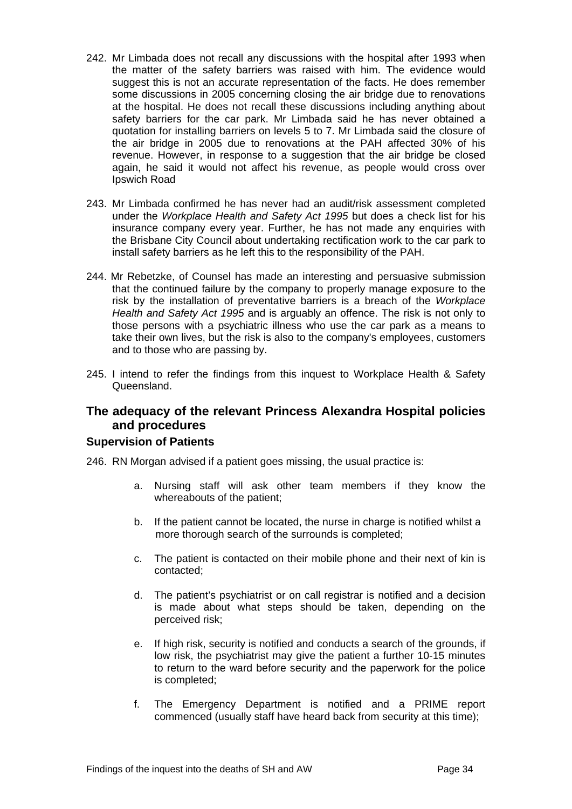- 242. Mr Limbada does not recall any discussions with the hospital after 1993 when the matter of the safety barriers was raised with him. The evidence would suggest this is not an accurate representation of the facts. He does remember some discussions in 2005 concerning closing the air bridge due to renovations at the hospital. He does not recall these discussions including anything about safety barriers for the car park. Mr Limbada said he has never obtained a quotation for installing barriers on levels 5 to 7. Mr Limbada said the closure of the air bridge in 2005 due to renovations at the PAH affected 30% of his revenue. However, in response to a suggestion that the air bridge be closed again, he said it would not affect his revenue, as people would cross over Ipswich Road
- 243. Mr Limbada confirmed he has never had an audit/risk assessment completed under the *Workplace Health and Safety Act 1995* but does a check list for his insurance company every year. Further, he has not made any enquiries with the Brisbane City Council about undertaking rectification work to the car park to install safety barriers as he left this to the responsibility of the PAH.
- 244. Mr Rebetzke, of Counsel has made an interesting and persuasive submission that the continued failure by the company to properly manage exposure to the risk by the installation of preventative barriers is a breach of the *Workplace Health and Safety Act 1995* and is arguably an offence. The risk is not only to those persons with a psychiatric illness who use the car park as a means to take their own lives, but the risk is also to the company's employees, customers and to those who are passing by.
- 245. I intend to refer the findings from this inquest to Workplace Health & Safety Queensland.

# <span id="page-34-0"></span>**The adequacy of the relevant Princess Alexandra Hospital policies and procedures**

### **Supervision of Patients**

246. RN Morgan advised if a patient goes missing, the usual practice is:

- a. Nursing staff will ask other team members if they know the whereabouts of the patient;
- b. If the patient cannot be located, the nurse in charge is notified whilst a more thorough search of the surrounds is completed;
- c. The patient is contacted on their mobile phone and their next of kin is contacted;
- d. The patient's psychiatrist or on call registrar is notified and a decision is made about what steps should be taken, depending on the perceived risk;
- e. If high risk, security is notified and conducts a search of the grounds, if low risk, the psychiatrist may give the patient a further 10-15 minutes to return to the ward before security and the paperwork for the police is completed;
- f. The Emergency Department is notified and a PRIME report commenced (usually staff have heard back from security at this time);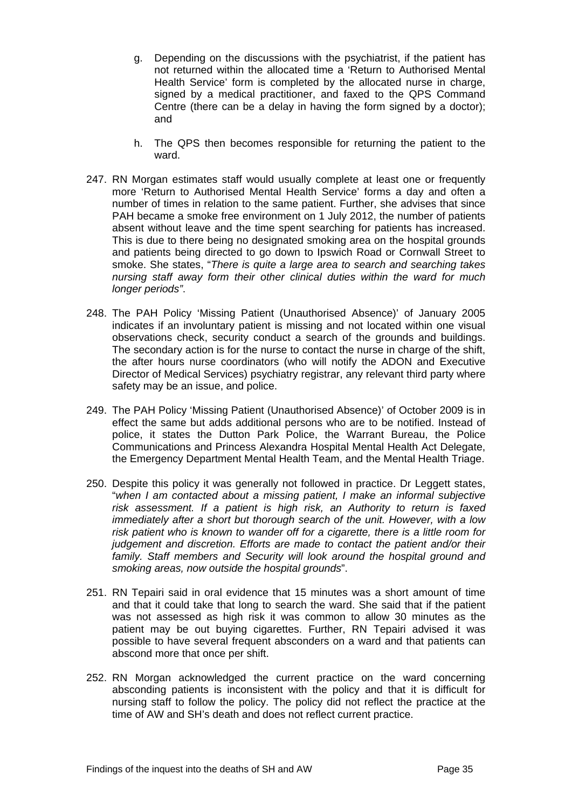- g. Depending on the discussions with the psychiatrist, if the patient has not returned within the allocated time a 'Return to Authorised Mental Health Service' form is completed by the allocated nurse in charge. signed by a medical practitioner, and faxed to the QPS Command Centre (there can be a delay in having the form signed by a doctor); and
- h. The QPS then becomes responsible for returning the patient to the ward.
- 247. RN Morgan estimates staff would usually complete at least one or frequently more 'Return to Authorised Mental Health Service' forms a day and often a number of times in relation to the same patient. Further, she advises that since PAH became a smoke free environment on 1 July 2012, the number of patients absent without leave and the time spent searching for patients has increased. This is due to there being no designated smoking area on the hospital grounds and patients being directed to go down to Ipswich Road or Cornwall Street to smoke. She states, "*There is quite a large area to search and searching takes nursing staff away form their other clinical duties within the ward for much longer periods"*.
- 248. The PAH Policy 'Missing Patient (Unauthorised Absence)' of January 2005 indicates if an involuntary patient is missing and not located within one visual observations check, security conduct a search of the grounds and buildings. The secondary action is for the nurse to contact the nurse in charge of the shift, the after hours nurse coordinators (who will notify the ADON and Executive Director of Medical Services) psychiatry registrar, any relevant third party where safety may be an issue, and police.
- 249. The PAH Policy 'Missing Patient (Unauthorised Absence)' of October 2009 is in effect the same but adds additional persons who are to be notified. Instead of police, it states the Dutton Park Police, the Warrant Bureau, the Police Communications and Princess Alexandra Hospital Mental Health Act Delegate, the Emergency Department Mental Health Team, and the Mental Health Triage.
- 250. Despite this policy it was generally not followed in practice. Dr Leggett states, "*when I am contacted about a missing patient, I make an informal subjective risk assessment. If a patient is high risk, an Authority to return is faxed immediately after a short but thorough search of the unit. However, with a low risk patient who is known to wander off for a cigarette, there is a little room for judgement and discretion. Efforts are made to contact the patient and/or their family. Staff members and Security will look around the hospital ground and smoking areas, now outside the hospital grounds*".
- 251. RN Tepairi said in oral evidence that 15 minutes was a short amount of time and that it could take that long to search the ward. She said that if the patient was not assessed as high risk it was common to allow 30 minutes as the patient may be out buying cigarettes. Further, RN Tepairi advised it was possible to have several frequent absconders on a ward and that patients can abscond more that once per shift.
- 252. RN Morgan acknowledged the current practice on the ward concerning absconding patients is inconsistent with the policy and that it is difficult for nursing staff to follow the policy. The policy did not reflect the practice at the time of AW and SH's death and does not reflect current practice.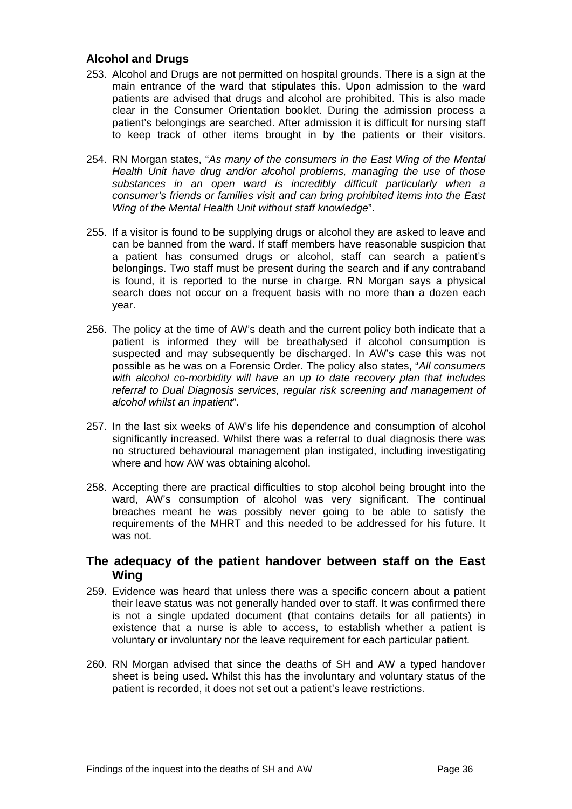### **Alcohol and Drugs**

- 253. Alcohol and Drugs are not permitted on hospital grounds. There is a sign at the main entrance of the ward that stipulates this. Upon admission to the ward patients are advised that drugs and alcohol are prohibited. This is also made clear in the Consumer Orientation booklet. During the admission process a patient's belongings are searched. After admission it is difficult for nursing staff to keep track of other items brought in by the patients or their visitors.
- 254. RN Morgan states, "*As many of the consumers in the East Wing of the Mental Health Unit have drug and/or alcohol problems, managing the use of those substances in an open ward is incredibly difficult particularly when a consumer's friends or families visit and can bring prohibited items into the East Wing of the Mental Health Unit without staff knowledge*".
- 255. If a visitor is found to be supplying drugs or alcohol they are asked to leave and can be banned from the ward. If staff members have reasonable suspicion that a patient has consumed drugs or alcohol, staff can search a patient's belongings. Two staff must be present during the search and if any contraband is found, it is reported to the nurse in charge. RN Morgan says a physical search does not occur on a frequent basis with no more than a dozen each year.
- 256. The policy at the time of AW's death and the current policy both indicate that a patient is informed they will be breathalysed if alcohol consumption is suspected and may subsequently be discharged. In AW's case this was not possible as he was on a Forensic Order. The policy also states, "*All consumers with alcohol co-morbidity will have an up to date recovery plan that includes referral to Dual Diagnosis services, regular risk screening and management of alcohol whilst an inpatient*".
- 257. In the last six weeks of AW's life his dependence and consumption of alcohol significantly increased. Whilst there was a referral to dual diagnosis there was no structured behavioural management plan instigated, including investigating where and how AW was obtaining alcohol.
- 258. Accepting there are practical difficulties to stop alcohol being brought into the ward, AW's consumption of alcohol was very significant. The continual breaches meant he was possibly never going to be able to satisfy the requirements of the MHRT and this needed to be addressed for his future. It was not.

# <span id="page-36-0"></span>**The adequacy of the patient handover between staff on the East Wing**

- 259. Evidence was heard that unless there was a specific concern about a patient their leave status was not generally handed over to staff. It was confirmed there is not a single updated document (that contains details for all patients) in existence that a nurse is able to access, to establish whether a patient is voluntary or involuntary nor the leave requirement for each particular patient.
- 260. RN Morgan advised that since the deaths of SH and AW a typed handover sheet is being used. Whilst this has the involuntary and voluntary status of the patient is recorded, it does not set out a patient's leave restrictions.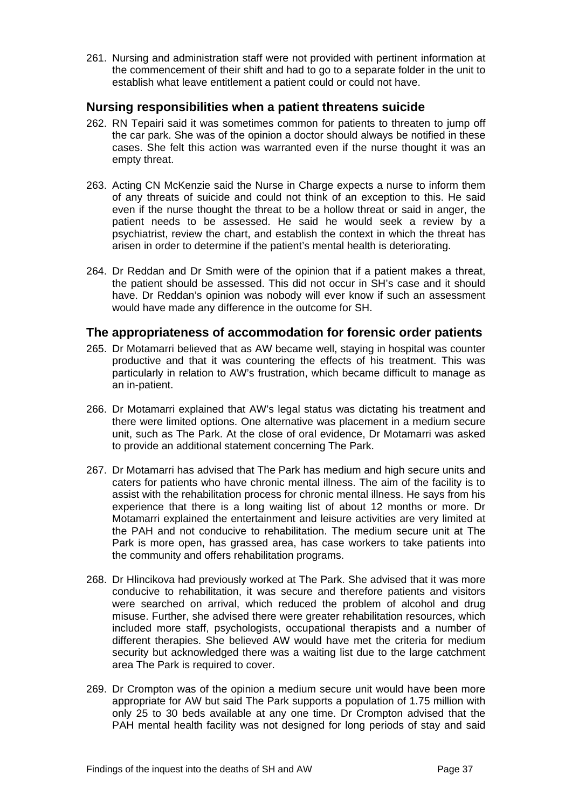261. Nursing and administration staff were not provided with pertinent information at the commencement of their shift and had to go to a separate folder in the unit to establish what leave entitlement a patient could or could not have.

# <span id="page-37-0"></span>**Nursing responsibilities when a patient threatens suicide**

- 262. RN Tepairi said it was sometimes common for patients to threaten to jump off the car park. She was of the opinion a doctor should always be notified in these cases. She felt this action was warranted even if the nurse thought it was an empty threat.
- 263. Acting CN McKenzie said the Nurse in Charge expects a nurse to inform them of any threats of suicide and could not think of an exception to this. He said even if the nurse thought the threat to be a hollow threat or said in anger, the patient needs to be assessed. He said he would seek a review by a psychiatrist, review the chart, and establish the context in which the threat has arisen in order to determine if the patient's mental health is deteriorating.
- 264. Dr Reddan and Dr Smith were of the opinion that if a patient makes a threat, the patient should be assessed. This did not occur in SH's case and it should have. Dr Reddan's opinion was nobody will ever know if such an assessment would have made any difference in the outcome for SH.

# <span id="page-37-1"></span>**The appropriateness of accommodation for forensic order patients**

- 265. Dr Motamarri believed that as AW became well, staying in hospital was counter productive and that it was countering the effects of his treatment. This was particularly in relation to AW's frustration, which became difficult to manage as an in-patient.
- 266. Dr Motamarri explained that AW's legal status was dictating his treatment and there were limited options. One alternative was placement in a medium secure unit, such as The Park. At the close of oral evidence, Dr Motamarri was asked to provide an additional statement concerning The Park.
- 267. Dr Motamarri has advised that The Park has medium and high secure units and caters for patients who have chronic mental illness. The aim of the facility is to assist with the rehabilitation process for chronic mental illness. He says from his experience that there is a long waiting list of about 12 months or more. Dr Motamarri explained the entertainment and leisure activities are very limited at the PAH and not conducive to rehabilitation. The medium secure unit at The Park is more open, has grassed area, has case workers to take patients into the community and offers rehabilitation programs.
- 268. Dr Hlincikova had previously worked at The Park. She advised that it was more conducive to rehabilitation, it was secure and therefore patients and visitors were searched on arrival, which reduced the problem of alcohol and drug misuse. Further, she advised there were greater rehabilitation resources, which included more staff, psychologists, occupational therapists and a number of different therapies. She believed AW would have met the criteria for medium security but acknowledged there was a waiting list due to the large catchment area The Park is required to cover.
- 269. Dr Crompton was of the opinion a medium secure unit would have been more appropriate for AW but said The Park supports a population of 1.75 million with only 25 to 30 beds available at any one time. Dr Crompton advised that the PAH mental health facility was not designed for long periods of stay and said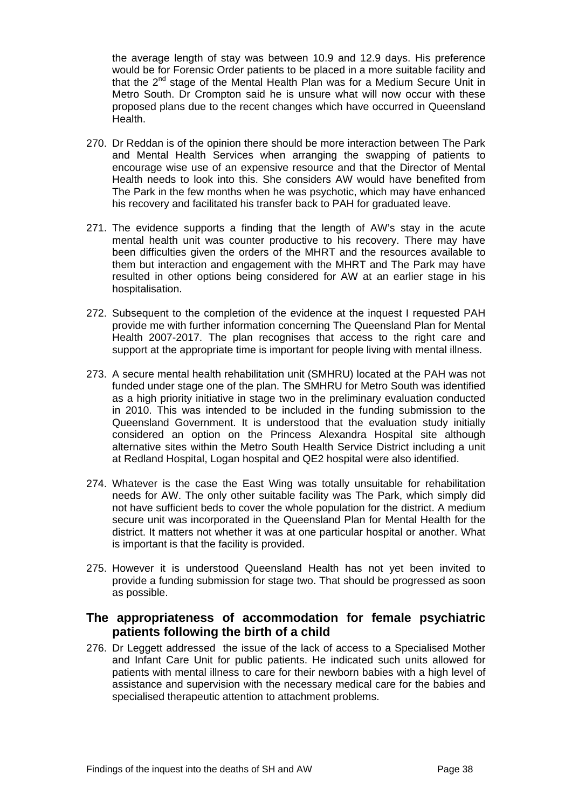the average length of stay was between 10.9 and 12.9 days. His preference would be for Forensic Order patients to be placed in a more suitable facility and that the  $2^{nd}$  stage of the Mental Health Plan was for a Medium Secure Unit in Metro South. Dr Crompton said he is unsure what will now occur with these proposed plans due to the recent changes which have occurred in Queensland Health.

- 270. Dr Reddan is of the opinion there should be more interaction between The Park and Mental Health Services when arranging the swapping of patients to encourage wise use of an expensive resource and that the Director of Mental Health needs to look into this. She considers AW would have benefited from The Park in the few months when he was psychotic, which may have enhanced his recovery and facilitated his transfer back to PAH for graduated leave.
- 271. The evidence supports a finding that the length of AW's stay in the acute mental health unit was counter productive to his recovery. There may have been difficulties given the orders of the MHRT and the resources available to them but interaction and engagement with the MHRT and The Park may have resulted in other options being considered for AW at an earlier stage in his hospitalisation.
- 272. Subsequent to the completion of the evidence at the inquest I requested PAH provide me with further information concerning The Queensland Plan for Mental Health 2007-2017. The plan recognises that access to the right care and support at the appropriate time is important for people living with mental illness.
- 273. A secure mental health rehabilitation unit (SMHRU) located at the PAH was not funded under stage one of the plan. The SMHRU for Metro South was identified as a high priority initiative in stage two in the preliminary evaluation conducted in 2010. This was intended to be included in the funding submission to the Queensland Government. It is understood that the evaluation study initially considered an option on the Princess Alexandra Hospital site although alternative sites within the Metro South Health Service District including a unit at Redland Hospital, Logan hospital and QE2 hospital were also identified.
- 274. Whatever is the case the East Wing was totally unsuitable for rehabilitation needs for AW. The only other suitable facility was The Park, which simply did not have sufficient beds to cover the whole population for the district. A medium secure unit was incorporated in the Queensland Plan for Mental Health for the district. It matters not whether it was at one particular hospital or another. What is important is that the facility is provided.
- 275. However it is understood Queensland Health has not yet been invited to provide a funding submission for stage two. That should be progressed as soon as possible.

# <span id="page-38-0"></span>**The appropriateness of accommodation for female psychiatric patients following the birth of a child**

276. Dr Leggett addressed the issue of the lack of access to a Specialised Mother and Infant Care Unit for public patients. He indicated such units allowed for patients with mental illness to care for their newborn babies with a high level of assistance and supervision with the necessary medical care for the babies and specialised therapeutic attention to attachment problems.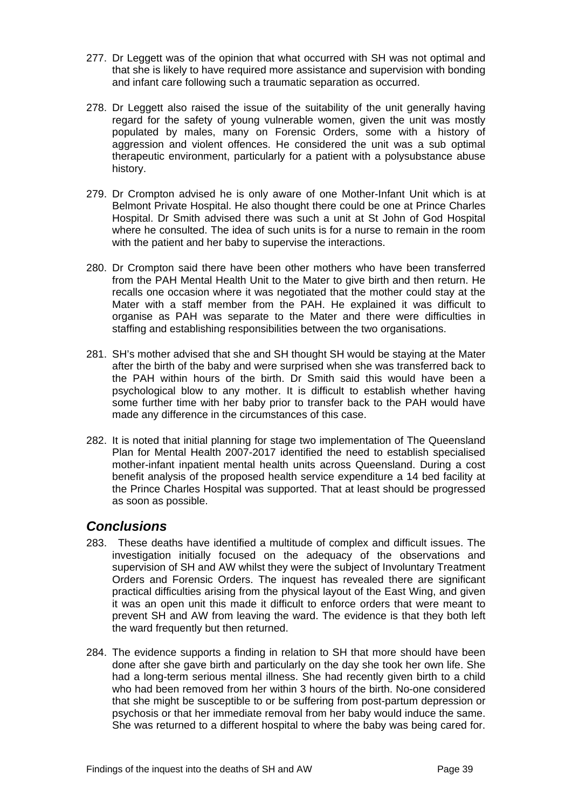- 277. Dr Leggett was of the opinion that what occurred with SH was not optimal and that she is likely to have required more assistance and supervision with bonding and infant care following such a traumatic separation as occurred.
- 278. Dr Leggett also raised the issue of the suitability of the unit generally having regard for the safety of young vulnerable women, given the unit was mostly populated by males, many on Forensic Orders, some with a history of aggression and violent offences. He considered the unit was a sub optimal therapeutic environment, particularly for a patient with a polysubstance abuse history.
- 279. Dr Crompton advised he is only aware of one Mother-Infant Unit which is at Belmont Private Hospital. He also thought there could be one at Prince Charles Hospital. Dr Smith advised there was such a unit at St John of God Hospital where he consulted. The idea of such units is for a nurse to remain in the room with the patient and her baby to supervise the interactions.
- 280. Dr Crompton said there have been other mothers who have been transferred from the PAH Mental Health Unit to the Mater to give birth and then return. He recalls one occasion where it was negotiated that the mother could stay at the Mater with a staff member from the PAH. He explained it was difficult to organise as PAH was separate to the Mater and there were difficulties in staffing and establishing responsibilities between the two organisations.
- 281. SH's mother advised that she and SH thought SH would be staying at the Mater after the birth of the baby and were surprised when she was transferred back to the PAH within hours of the birth. Dr Smith said this would have been a psychological blow to any mother. It is difficult to establish whether having some further time with her baby prior to transfer back to the PAH would have made any difference in the circumstances of this case.
- 282. It is noted that initial planning for stage two implementation of The Queensland Plan for Mental Health 2007-2017 identified the need to establish specialised mother-infant inpatient mental health units across Queensland. During a cost benefit analysis of the proposed health service expenditure a 14 bed facility at the Prince Charles Hospital was supported. That at least should be progressed as soon as possible.

# <span id="page-39-0"></span>*Conclusions*

- 283. These deaths have identified a multitude of complex and difficult issues. The investigation initially focused on the adequacy of the observations and supervision of SH and AW whilst they were the subject of Involuntary Treatment Orders and Forensic Orders. The inquest has revealed there are significant practical difficulties arising from the physical layout of the East Wing, and given it was an open unit this made it difficult to enforce orders that were meant to prevent SH and AW from leaving the ward. The evidence is that they both left the ward frequently but then returned.
- 284. The evidence supports a finding in relation to SH that more should have been done after she gave birth and particularly on the day she took her own life. She had a long-term serious mental illness. She had recently given birth to a child who had been removed from her within 3 hours of the birth. No-one considered that she might be susceptible to or be suffering from post-partum depression or psychosis or that her immediate removal from her baby would induce the same. She was returned to a different hospital to where the baby was being cared for.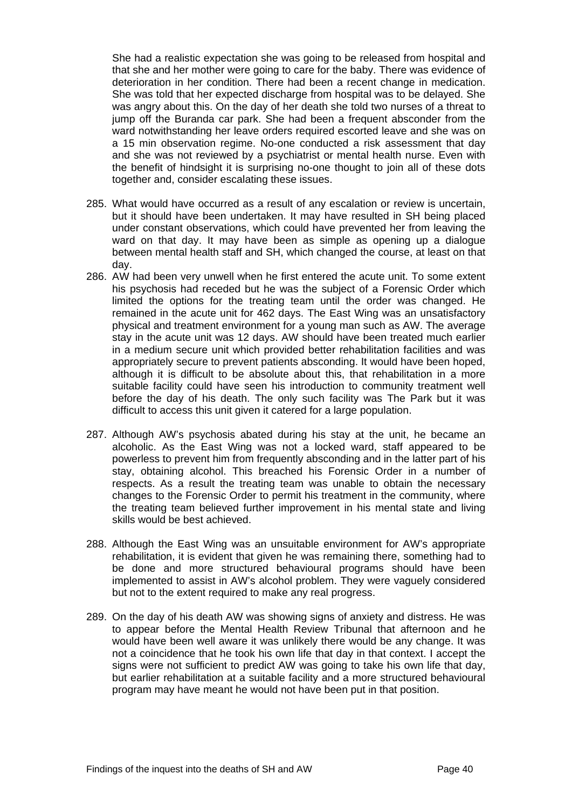She had a realistic expectation she was going to be released from hospital and that she and her mother were going to care for the baby. There was evidence of deterioration in her condition. There had been a recent change in medication. She was told that her expected discharge from hospital was to be delayed. She was angry about this. On the day of her death she told two nurses of a threat to jump off the Buranda car park. She had been a frequent absconder from the ward notwithstanding her leave orders required escorted leave and she was on a 15 min observation regime. No-one conducted a risk assessment that day and she was not reviewed by a psychiatrist or mental health nurse. Even with the benefit of hindsight it is surprising no-one thought to join all of these dots together and, consider escalating these issues.

- 285. What would have occurred as a result of any escalation or review is uncertain, but it should have been undertaken. It may have resulted in SH being placed under constant observations, which could have prevented her from leaving the ward on that day. It may have been as simple as opening up a dialogue between mental health staff and SH, which changed the course, at least on that day.
- 286. AW had been very unwell when he first entered the acute unit. To some extent his psychosis had receded but he was the subject of a Forensic Order which limited the options for the treating team until the order was changed. He remained in the acute unit for 462 days. The East Wing was an unsatisfactory physical and treatment environment for a young man such as AW. The average stay in the acute unit was 12 days. AW should have been treated much earlier in a medium secure unit which provided better rehabilitation facilities and was appropriately secure to prevent patients absconding. It would have been hoped, although it is difficult to be absolute about this, that rehabilitation in a more suitable facility could have seen his introduction to community treatment well before the day of his death. The only such facility was The Park but it was difficult to access this unit given it catered for a large population.
- 287. Although AW's psychosis abated during his stay at the unit, he became an alcoholic. As the East Wing was not a locked ward, staff appeared to be powerless to prevent him from frequently absconding and in the latter part of his stay, obtaining alcohol. This breached his Forensic Order in a number of respects. As a result the treating team was unable to obtain the necessary changes to the Forensic Order to permit his treatment in the community, where the treating team believed further improvement in his mental state and living skills would be best achieved.
- 288. Although the East Wing was an unsuitable environment for AW's appropriate rehabilitation, it is evident that given he was remaining there, something had to be done and more structured behavioural programs should have been implemented to assist in AW's alcohol problem. They were vaguely considered but not to the extent required to make any real progress.
- 289. On the day of his death AW was showing signs of anxiety and distress. He was to appear before the Mental Health Review Tribunal that afternoon and he would have been well aware it was unlikely there would be any change. It was not a coincidence that he took his own life that day in that context. I accept the signs were not sufficient to predict AW was going to take his own life that day, but earlier rehabilitation at a suitable facility and a more structured behavioural program may have meant he would not have been put in that position.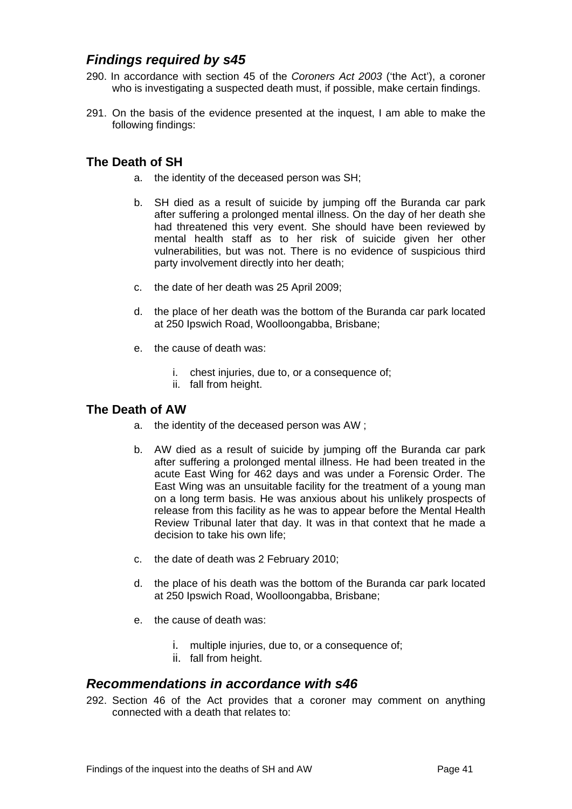# <span id="page-41-0"></span>*Findings required by s45*

- 290. In accordance with section 45 of the *Coroners Act 2003* ('the Act'), a coroner who is investigating a suspected death must, if possible, make certain findings.
- 291. On the basis of the evidence presented at the inquest, I am able to make the following findings:

# <span id="page-41-1"></span>**The Death of SH**

- a. the identity of the deceased person was SH;
- b. SH died as a result of suicide by jumping off the Buranda car park after suffering a prolonged mental illness. On the day of her death she had threatened this very event. She should have been reviewed by mental health staff as to her risk of suicide given her other vulnerabilities, but was not. There is no evidence of suspicious third party involvement directly into her death;
- c. the date of her death was 25 April 2009;
- d. the place of her death was the bottom of the Buranda car park located at 250 Ipswich Road, Woolloongabba, Brisbane;
- e. the cause of death was:
	- i. chest injuries, due to, or a consequence of;
	- ii. fall from height.

# <span id="page-41-2"></span>**The Death of AW**

- a. the identity of the deceased person was AW ;
- b. AW died as a result of suicide by jumping off the Buranda car park after suffering a prolonged mental illness. He had been treated in the acute East Wing for 462 days and was under a Forensic Order. The East Wing was an unsuitable facility for the treatment of a young man on a long term basis. He was anxious about his unlikely prospects of release from this facility as he was to appear before the Mental Health Review Tribunal later that day. It was in that context that he made a decision to take his own life;
- c. the date of death was 2 February 2010;
- d. the place of his death was the bottom of the Buranda car park located at 250 Ipswich Road, Woolloongabba, Brisbane;
- e. the cause of death was:
	- i. multiple injuries, due to, or a consequence of;
	- ii. fall from height.

# <span id="page-41-3"></span>*Recommendations in accordance with s46*

292. Section 46 of the Act provides that a coroner may comment on anything connected with a death that relates to: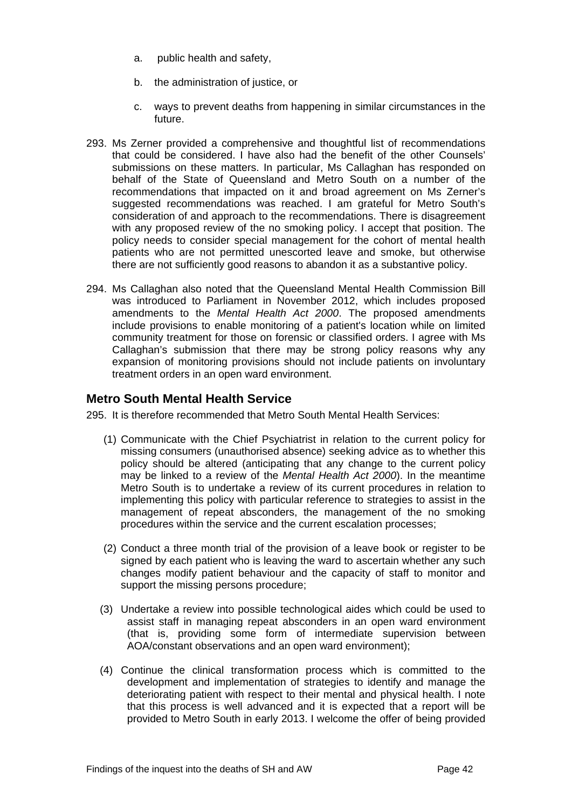- a. public health and safety,
- b. the administration of justice, or
- c. ways to prevent deaths from happening in similar circumstances in the future.
- 293. Ms Zerner provided a comprehensive and thoughtful list of recommendations that could be considered. I have also had the benefit of the other Counsels' submissions on these matters. In particular, Ms Callaghan has responded on behalf of the State of Queensland and Metro South on a number of the recommendations that impacted on it and broad agreement on Ms Zerner's suggested recommendations was reached. I am grateful for Metro South's consideration of and approach to the recommendations. There is disagreement with any proposed review of the no smoking policy. I accept that position. The policy needs to consider special management for the cohort of mental health patients who are not permitted unescorted leave and smoke, but otherwise there are not sufficiently good reasons to abandon it as a substantive policy.
- 294. Ms Callaghan also noted that the Queensland Mental Health Commission Bill was introduced to Parliament in November 2012, which includes proposed amendments to the *Mental Health Act 2000*. The proposed amendments include provisions to enable monitoring of a patient's location while on limited community treatment for those on forensic or classified orders. I agree with Ms Callaghan's submission that there may be strong policy reasons why any expansion of monitoring provisions should not include patients on involuntary treatment orders in an open ward environment.

# <span id="page-42-0"></span>**Metro South Mental Health Service**

295. It is therefore recommended that Metro South Mental Health Services:

- (1) Communicate with the Chief Psychiatrist in relation to the current policy for missing consumers (unauthorised absence) seeking advice as to whether this policy should be altered (anticipating that any change to the current policy may be linked to a review of the *Mental Health Act 2000*). In the meantime Metro South is to undertake a review of its current procedures in relation to implementing this policy with particular reference to strategies to assist in the management of repeat absconders, the management of the no smoking procedures within the service and the current escalation processes;
- (2) Conduct a three month trial of the provision of a leave book or register to be signed by each patient who is leaving the ward to ascertain whether any such changes modify patient behaviour and the capacity of staff to monitor and support the missing persons procedure;
- (3) Undertake a review into possible technological aides which could be used to assist staff in managing repeat absconders in an open ward environment (that is, providing some form of intermediate supervision between AOA/constant observations and an open ward environment);
- (4) Continue the clinical transformation process which is committed to the development and implementation of strategies to identify and manage the deteriorating patient with respect to their mental and physical health. I note that this process is well advanced and it is expected that a report will be provided to Metro South in early 2013. I welcome the offer of being provided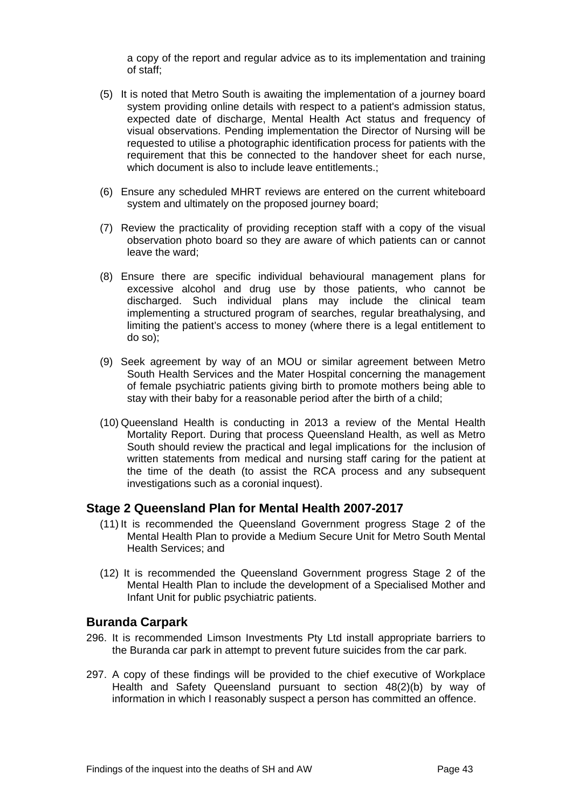a copy of the report and regular advice as to its implementation and training of staff;

- (5) It is noted that Metro South is awaiting the implementation of a journey board system providing online details with respect to a patient's admission status, expected date of discharge, Mental Health Act status and frequency of visual observations. Pending implementation the Director of Nursing will be requested to utilise a photographic identification process for patients with the requirement that this be connected to the handover sheet for each nurse, which document is also to include leave entitlements.:
- (6) Ensure any scheduled MHRT reviews are entered on the current whiteboard system and ultimately on the proposed journey board;
- (7) Review the practicality of providing reception staff with a copy of the visual observation photo board so they are aware of which patients can or cannot leave the ward;
- (8) Ensure there are specific individual behavioural management plans for excessive alcohol and drug use by those patients, who cannot be discharged. Such individual plans may include the clinical team implementing a structured program of searches, regular breathalysing, and limiting the patient's access to money (where there is a legal entitlement to do so);
- (9) Seek agreement by way of an MOU or similar agreement between Metro South Health Services and the Mater Hospital concerning the management of female psychiatric patients giving birth to promote mothers being able to stay with their baby for a reasonable period after the birth of a child;
- (10) Queensland Health is conducting in 2013 a review of the Mental Health Mortality Report. During that process Queensland Health, as well as Metro South should review the practical and legal implications for the inclusion of written statements from medical and nursing staff caring for the patient at the time of the death (to assist the RCA process and any subsequent investigations such as a coronial inquest).

# <span id="page-43-0"></span>**Stage 2 Queensland Plan for Mental Health 2007-2017**

- (11) It is recommended the Queensland Government progress Stage 2 of the Mental Health Plan to provide a Medium Secure Unit for Metro South Mental Health Services; and
- (12) It is recommended the Queensland Government progress Stage 2 of the Mental Health Plan to include the development of a Specialised Mother and Infant Unit for public psychiatric patients.

### <span id="page-43-1"></span>**Buranda Carpark**

- 296. It is recommended Limson Investments Pty Ltd install appropriate barriers to the Buranda car park in attempt to prevent future suicides from the car park.
- 297. A copy of these findings will be provided to the chief executive of Workplace Health and Safety Queensland pursuant to section 48(2)(b) by way of information in which I reasonably suspect a person has committed an offence.